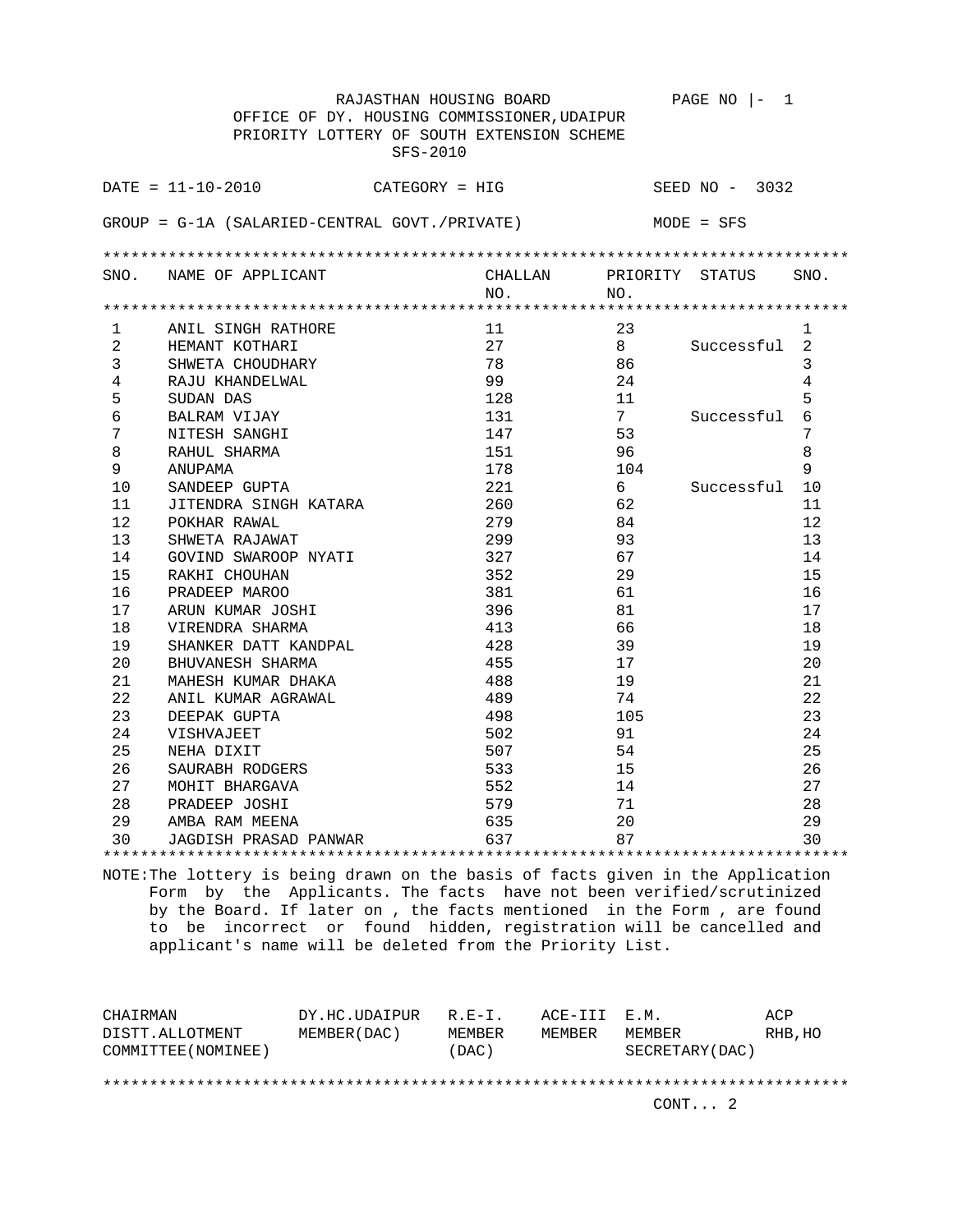|                | RAJASTHAN HOUSING BOARD                       |         |     | PAGE NO<br>1     |                |
|----------------|-----------------------------------------------|---------|-----|------------------|----------------|
|                | OFFICE OF DY. HOUSING COMMISSIONER, UDAIPUR   |         |     |                  |                |
|                | PRIORITY LOTTERY OF SOUTH EXTENSION SCHEME    |         |     |                  |                |
|                | SFS-2010                                      |         |     |                  |                |
|                |                                               |         |     |                  |                |
|                | $DATA = 11 - 10 - 2010$<br>CATEGORY = HIG     |         |     | SEED $NO - 3032$ |                |
|                | GROUP = G-1A (SALARIED-CENTRAL GOVT./PRIVATE) |         |     | MODE = SFS       |                |
|                |                                               |         |     |                  |                |
|                |                                               |         |     |                  |                |
|                | SNO. NAME OF APPLICANT                        | CHALLAN |     | PRIORITY STATUS  | SNO.           |
|                |                                               | NO.     | NO. |                  |                |
|                |                                               |         |     |                  |                |
| 1              | ANIL SINGH RATHORE                            | 11      | 23  |                  | $\mathbf{1}$   |
| 2              | HEMANT KOTHARI                                | 27      | 8   | Successful       | 2              |
| 3              | SHWETA CHOUDHARY                              | 78      | 86  |                  | 3              |
| $\overline{4}$ | RAJU KHANDELWAL                               | 99      | 24  |                  | $\overline{4}$ |
| 5              | SUDAN DAS                                     | 128     | 11  |                  | 5              |
| 6              | BALRAM VIJAY                                  | 131     | 7   | Successful       | 6              |
| 7              | NITESH SANGHI                                 | 147     | 53  |                  | 7              |
| 8              | RAHUL SHARMA                                  | 151     | 96  |                  | 8              |
| 9              | ANUPAMA                                       | 178     | 104 |                  | 9              |
| 10             | SANDEEP GUPTA                                 | 221     | 6   | Successful       | 10             |
| 11             | JITENDRA SINGH KATARA                         | 260     | 62  |                  | 11             |
| 12             | POKHAR RAWAL                                  | 279     | 84  |                  | 12             |
| 13             | SHWETA RAJAWAT                                | 299     | 93  |                  | 13             |
| 14             | GOVIND SWAROOP NYATI                          | 327     | 67  |                  | 14             |
| 15             | RAKHI CHOUHAN                                 | 352     | 29  |                  | 15             |
| 16             | PRADEEP MAROO                                 | 381     | 61  |                  | 16             |
| 17             | ARUN KUMAR JOSHI                              | 396     | 81  |                  | 17             |
| 18             | VIRENDRA SHARMA                               | 413     | 66  |                  | 18             |
| 19             | SHANKER DATT KANDPAL                          | 428     | 39  |                  | 19             |
| 20             | BHUVANESH SHARMA                              | 455     | 17  |                  | 20             |
| 21             | MAHESH KUMAR DHAKA                            | 488     | 19  |                  | 21             |
| 22             | ANIL KUMAR AGRAWAL                            | 489     | 74  |                  | 22             |
| 23             | DEEPAK GUPTA                                  | 498     | 105 |                  | 23             |
| 24             | VISHVAJEET                                    | 502     | 91  |                  | 24             |
| 25             | NEHA DIXIT                                    | 507     | 54  |                  | 25             |
| 26             | SAURABH RODGERS                               | 533     | 15  |                  | 26             |
| 27             | MOHIT BHARGAVA                                | 552     | 14  |                  | 27             |
| 28             | PRADEEP JOSHI                                 | 579     | 71  |                  | 28             |
| 29             | AMBA RAM MEENA                                | 635     | 20  |                  | 29             |
| 30             | JAGDISH PRASAD PANWAR                         | 637     | 87  |                  | 30             |
|                |                                               |         |     |                  |                |

| CHAIRMAN            | DY.HC.UDAIPUR | $R. E-T.$ | ACE-III E.M. |                 | ACP     |  |  |
|---------------------|---------------|-----------|--------------|-----------------|---------|--|--|
| DISTT.ALLOTMENT     | MEMBER (DAC)  | MEMBER    | MEMBER       | MEMBER          | RHB, HO |  |  |
| COMMITTEE (NOMINEE) |               | (DAC)     |              | SECRETARY (DAC) |         |  |  |
|                     |               |           |              |                 |         |  |  |
|                     |               |           |              |                 |         |  |  |
|                     |               |           |              | CONT. 2         |         |  |  |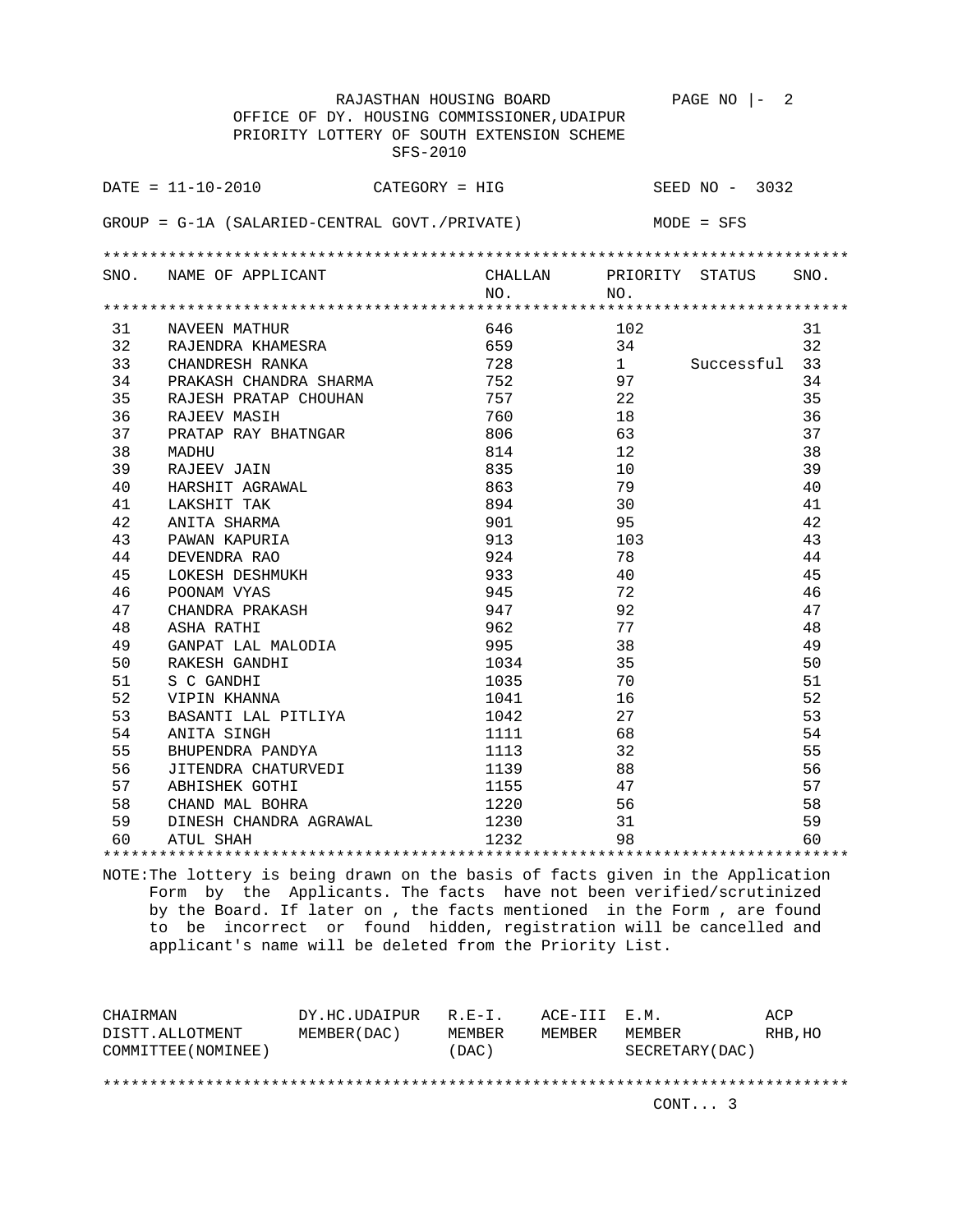|      | RAJASTHAN HOUSING BOARD                       |         |                   | PAGE NO $ -$<br>2 |      |
|------|-----------------------------------------------|---------|-------------------|-------------------|------|
|      | OFFICE OF DY. HOUSING COMMISSIONER, UDAIPUR   |         |                   |                   |      |
|      | PRIORITY LOTTERY OF SOUTH EXTENSION SCHEME    |         |                   |                   |      |
|      | SFS-2010                                      |         |                   |                   |      |
|      |                                               |         |                   |                   |      |
|      | $DATA = 11 - 10 - 2010$<br>$CATEGORY = HIG$   |         |                   | SEED $NO - 3032$  |      |
|      |                                               |         |                   |                   |      |
|      | GROUP = G-1A (SALARIED-CENTRAL GOVT./PRIVATE) |         |                   | MODE = SFS        |      |
|      |                                               |         |                   |                   |      |
|      |                                               |         |                   |                   |      |
| SNO. | NAME OF APPLICANT                             | CHALLAN | PRIORITY STATUS   |                   | SNO. |
|      |                                               | NO.     | NO.               |                   |      |
|      |                                               |         |                   |                   |      |
| 31   | NAVEEN MATHUR                                 | 646     | 102               |                   | 31   |
| 32   | RAJENDRA KHAMESRA                             | 659     | 34                |                   | 32   |
| 33   | CHANDRESH RANKA                               | 728     | 1                 | Successful        | 33   |
| 34   | PRAKASH CHANDRA SHARMA                        | 752     | 97                |                   | 34   |
| 35   | RAJESH PRATAP CHOUHAN                         | 757     | 22                |                   | 35   |
| 36   | RAJEEV MASIH                                  | 760     | 18                |                   | 36   |
| 37   | PRATAP RAY BHATNGAR                           | 806     | 63                |                   | 37   |
| 38   | MADHU                                         | 814     | $12 \overline{ }$ |                   | 38   |
| 39   | RAJEEV JAIN                                   | 835     | 10                |                   | 39   |
| 40   | HARSHIT AGRAWAL                               | 863     | 79                |                   | 40   |
| 41   | LAKSHIT TAK                                   | 894     | 30                |                   | 41   |
| 42   | ANITA SHARMA                                  | 901     | 95                |                   | 42   |
| 43   | PAWAN KAPURIA                                 | 913     | 103               |                   | 43   |
| 44   | DEVENDRA RAO                                  | 924     | 78                |                   | 44   |
| 45   | LOKESH DESHMUKH                               | 933     | 40                |                   | 45   |
| 46   | POONAM VYAS                                   | 945     | 72                |                   | 46   |
| 47   | CHANDRA PRAKASH                               | 947     | 92                |                   | 47   |
| 48   | ASHA RATHI                                    | 962     | 77                |                   | 48   |
| 49   | GANPAT LAL MALODIA                            | 995     | 38                |                   | 49   |
| 50   | RAKESH GANDHI                                 | 1034    | 35                |                   | 50   |
| 51   | S C GANDHI                                    | 1035    | 70                |                   | 51   |
| 52   | VIPIN KHANNA                                  | 1041    | 16                |                   | 52   |
| 53   | BASANTI LAL PITLIYA                           | 1042    | 27                |                   | 53   |
| 54   | ANITA SINGH                                   | 1111    | 68                |                   | 54   |
| 55   | BHUPENDRA PANDYA                              | 1113    | 32                |                   | 55   |
| 56   | JITENDRA CHATURVEDI                           | 1139    | 88                |                   | 56   |
| 57   | ABHISHEK GOTHI                                | 1155    | 47                |                   | 57   |
| 58   | CHAND MAL BOHRA                               | 1220    | 56                |                   | 58   |
| 59   | DINESH CHANDRA AGRAWAL                        | 1230    | 31                |                   | 59   |
| 60   | ATUL SHAH                                     | 1232    | 98                |                   | 60   |

\*\*\*\*\*\*\*\*\*\*\*\*\*\*\*\*\*\*\*\*\*\*\*\*\*\*\*\*\*\*\*\*\*\*\*\*\*\*\*\*\*\*\*\*\*\*\*\*\*\*\*\*\*\*\*\*\*\*\*\*\*\*\*\*\*\*\*\*\*\*\*\*\*\*\*\*\*\*\*\*

| DY.HC.UDAIPUR |        |             |                 | ACP          |  |  |
|---------------|--------|-------------|-----------------|--------------|--|--|
| MEMBER (DAC)  | MEMBER | MEMBER      | MEMBER          | RHB, HO      |  |  |
|               | (DAC)  |             | SECRETARY (DAC) |              |  |  |
|               |        |             |                 |              |  |  |
|               |        |             |                 |              |  |  |
|               |        |             | CONT. 3         |              |  |  |
|               |        | $R. F - T.$ |                 | ACE-III E.M. |  |  |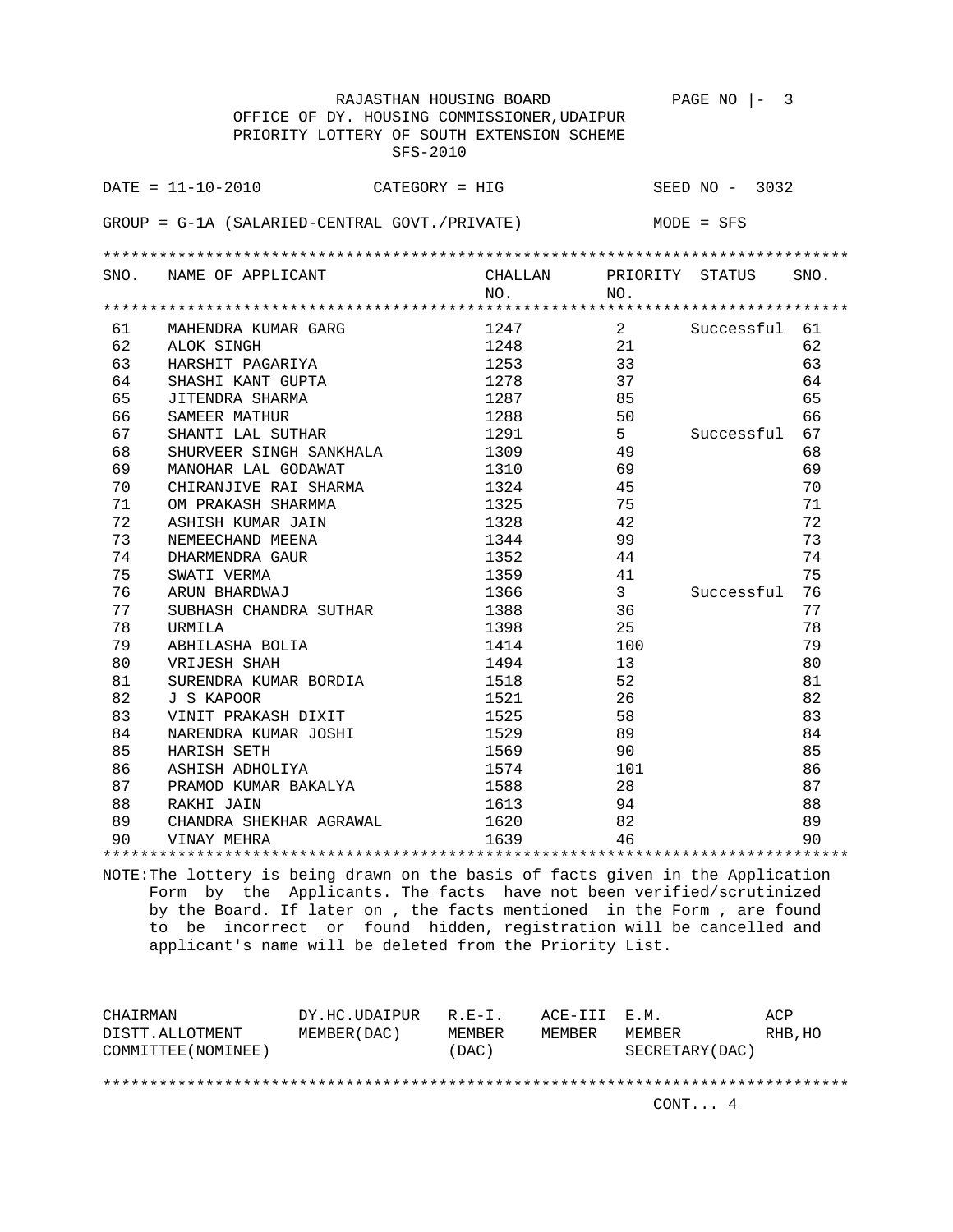|    | RAJASTHAN HOUSING BOARD                         |         |                | PAGE NO $ -$<br>3 |      |
|----|-------------------------------------------------|---------|----------------|-------------------|------|
|    | OFFICE OF DY. HOUSING COMMISSIONER, UDAIPUR     |         |                |                   |      |
|    | PRIORITY LOTTERY OF SOUTH EXTENSION SCHEME      |         |                |                   |      |
|    | SFS-2010                                        |         |                |                   |      |
|    | $\texttt{DATE} = 11 - 10 - 2010$ CATEGORY = HIG |         |                | SEED $NO - 3032$  |      |
|    |                                                 |         |                |                   |      |
|    | GROUP = G-1A (SALARIED-CENTRAL GOVT./PRIVATE)   |         |                | MODE = SFS        |      |
|    |                                                 |         |                |                   |      |
|    | SNO. NAME OF APPLICANT                          | CHALLAN |                | PRIORITY STATUS   | SNO. |
|    |                                                 | NO.     | NO.            |                   |      |
|    |                                                 |         |                |                   |      |
| 61 | MAHENDRA KUMAR GARG                             | 1247    | $2^{\circ}$    | Successful 61     |      |
| 62 | ALOK SINGH                                      | 1248    | 21             |                   | 62   |
| 63 | HARSHIT PAGARIYA                                | 1253    | 33             |                   | 63   |
| 64 | SHASHI KANT GUPTA                               | 1278    | 37             |                   | 64   |
| 65 | JITENDRA SHARMA                                 | 1287    | 85             |                   | 65   |
| 66 | SAMEER MATHUR                                   | 1288    | 50             |                   | 66   |
| 67 | SHANTI LAL SUTHAR                               | 1291    | 5 <sup>7</sup> | Successful        | 67   |
| 68 | SHURVEER SINGH SANKHALA                         | 1309    | 49             |                   | 68   |
| 69 | MANOHAR LAL GODAWAT                             | 1310    | 69             |                   | 69   |
| 70 | CHIRANJIVE RAI SHARMA                           | 1324    | 45             |                   | 70   |
| 71 | OM PRAKASH SHARMMA                              | 1325    | 75             |                   | 71   |
| 72 | ASHISH KUMAR JAIN                               | 1328    | 42             |                   | 72   |
| 73 | NEMEECHAND MEENA                                | 1344    | 99             |                   | 73   |
| 74 | DHARMENDRA GAUR                                 | 1352    | 44             |                   | 74   |
| 75 | SWATI VERMA                                     | 1359    | 41             |                   | 75   |
| 76 | ARUN BHARDWAJ                                   | 1366    | $\mathbf{3}$   | Successful        | 76   |
| 77 | SUBHASH CHANDRA SUTHAR                          | 1388    | 36             |                   | 77   |
| 78 | URMILA                                          | 1398    | 25             |                   | 78   |
| 79 | ABHILASHA BOLIA                                 | 1414    | 100            |                   | 79   |
| 80 | VRIJESH SHAH                                    | 1494    | 13             |                   | 80   |
| 81 | SURENDRA KUMAR BORDIA                           | 1518    | 52             |                   | 81   |
| 82 | J S KAPOOR                                      | 1521    | 26             |                   | 82   |
| 83 | VINIT PRAKASH DIXIT                             | 1525    | 58             |                   | 83   |
| 84 | NARENDRA KUMAR JOSHI                            | 1529    | 89             |                   | 84   |
| 85 | HARISH SETH                                     | 1569    | 90             |                   | 85   |
| 86 | ASHISH ADHOLIYA                                 | 1574    | 101            |                   | 86   |
| 87 | PRAMOD KUMAR BAKALYA                            | 1588    | 28             |                   | 87   |
| 88 | RAKHI JAIN                                      | 1613    | 94             |                   | 88   |
| 89 | CHANDRA SHEKHAR AGRAWAL                         | 1620    | 82             |                   | 89   |
| 90 | VINAY MEHRA                                     | 1639    | 46             |                   | 90   |
|    |                                                 |         |                |                   |      |

| CHAIRMAN            | DY.HC.UDAIPUR | $R. F - T.$ | ACE-III E.M. |                 | ACP     |  |
|---------------------|---------------|-------------|--------------|-----------------|---------|--|
| DISTT.ALLOTMENT     | MEMBER (DAC)  | MEMBER      | MEMBER       | MEMBER          | RHB, HO |  |
| COMMITTEE (NOMINEE) |               | (DAC)       |              | SECRETARY (DAC) |         |  |
|                     |               |             |              |                 |         |  |
|                     |               |             |              |                 |         |  |
|                     |               |             |              | CONT 4          |         |  |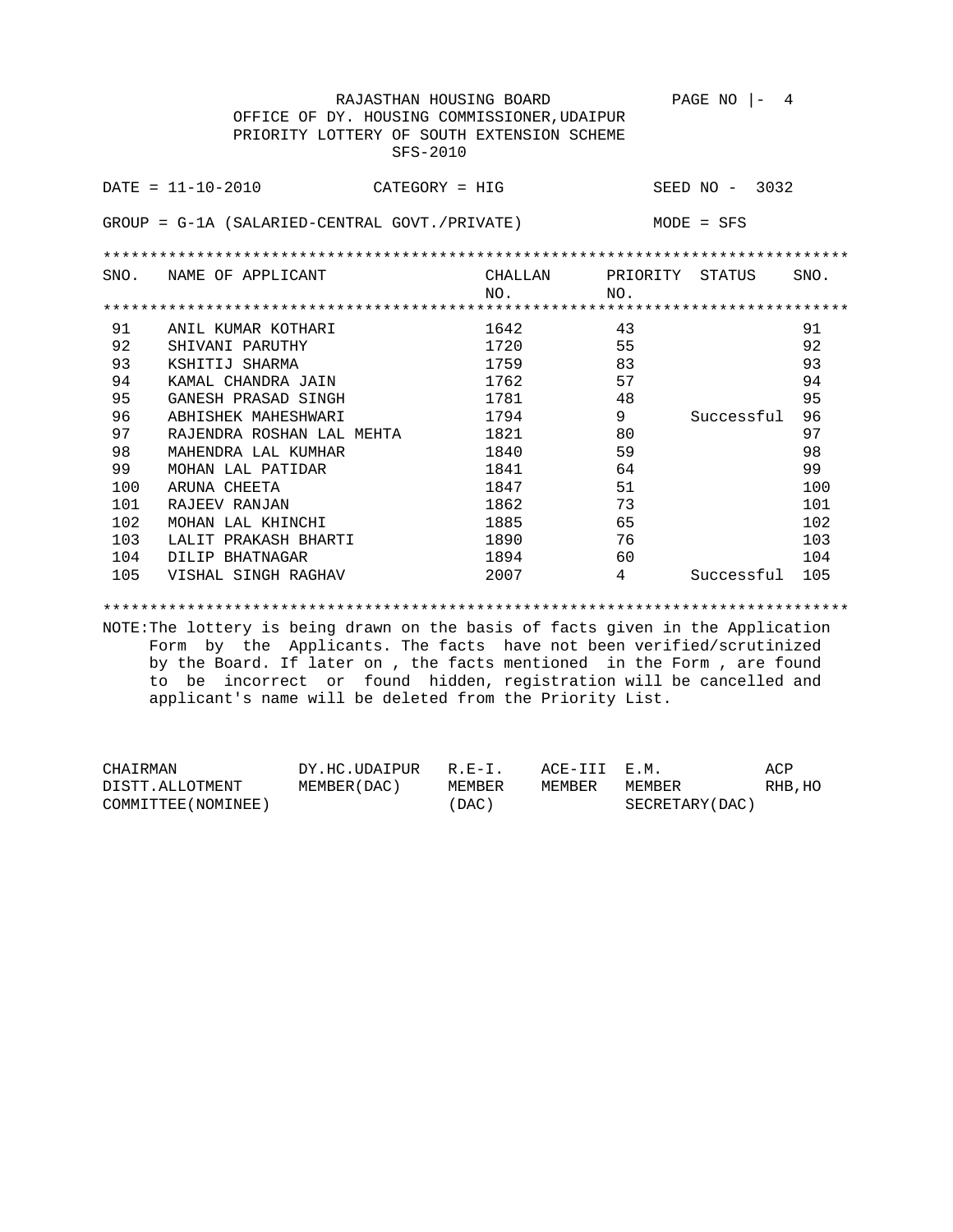RAJASTHAN HOUSING BOARD PAGE NO |- 4 OFFICE OF DY. HOUSING COMMISSIONER,UDAIPUR PRIORITY LOTTERY OF SOUTH EXTENSION SCHEME SFS-2010 DATE = 11-10-2010 CATEGORY = HIG SEED NO - 3032 GROUP = G-1A (SALARIED-CENTRAL GOVT./PRIVATE) MODE = SFS \*\*\*\*\*\*\*\*\*\*\*\*\*\*\*\*\*\*\*\*\*\*\*\*\*\*\*\*\*\*\*\*\*\*\*\*\*\*\*\*\*\*\*\*\*\*\*\*\*\*\*\*\*\*\*\*\*\*\*\*\*\*\*\*\*\*\*\*\*\*\*\*\*\*\*\*\*\*\*\* SNO. NAME OF APPLICANT CHALLAN PRIORITY STATUS SNO. NO. NO. \*\*\*\*\*\*\*\*\*\*\*\*\*\*\*\*\*\*\*\*\*\*\*\*\*\*\*\*\*\*\*\*\*\*\*\*\*\*\*\*\*\*\*\*\*\*\*\*\*\*\*\*\*\*\*\*\*\*\*\*\*\*\*\*\*\*\*\*\*\*\*\*\*\*\*\*\*\*\*\* 91 ANIL KUMAR KOTHARI 1642 43 91 92 SHIVANI PARUTHY 1720 55 92 93 KSHITIJ SHARMA 1759 83 93 94 KAMAL CHANDRA JAIN 1762 57 94 95 GANESH PRASAD SINGH 1781 48 48 95 96 ABHISHEK MAHESHWARI 1794 9 Successful 96 97 RAJENDRA ROSHAN LAL MEHTA 1821 80 97 98 MAHENDRA LAL KUMHAR 1840 1840 59 59 59 98 99 MOHAN LAL PATIDAR 1841 64 99 100 ARUNA CHEETA 1847 51 100 101 RAJEEV RANJAN 1862 73 101 102 MOHAN LAL KHINCHI 1885 65 65 102 103 LALIT PRAKASH BHARTI 1890 76 103<br>104 DILIP BHATNAGAR 1894 60 104<br>105 VISHAL SINGH BAGUANI 1895 1895 104 DILIP BHATNAGAR 1894 60 104 105 VISHAL SINGH RAGHAV 2007 4 Successful 105

\*\*\*\*\*\*\*\*\*\*\*\*\*\*\*\*\*\*\*\*\*\*\*\*\*\*\*\*\*\*\*\*\*\*\*\*\*\*\*\*\*\*\*\*\*\*\*\*\*\*\*\*\*\*\*\*\*\*\*\*\*\*\*\*\*\*\*\*\*\*\*\*\*\*\*\*\*\*\*\*

| CHAIRMAN            | DY.HC.UDAIPUR R.E-I. |        | ACE-III E.M. |                 | ACP     |
|---------------------|----------------------|--------|--------------|-----------------|---------|
| DISTT.ALLOTMENT     | MEMBER (DAC)         | MEMBER | MEMBER       | MEMBER          | RHB, HO |
| COMMITTEE (NOMINEE) |                      | (DAC)  |              | SECRETARY (DAC) |         |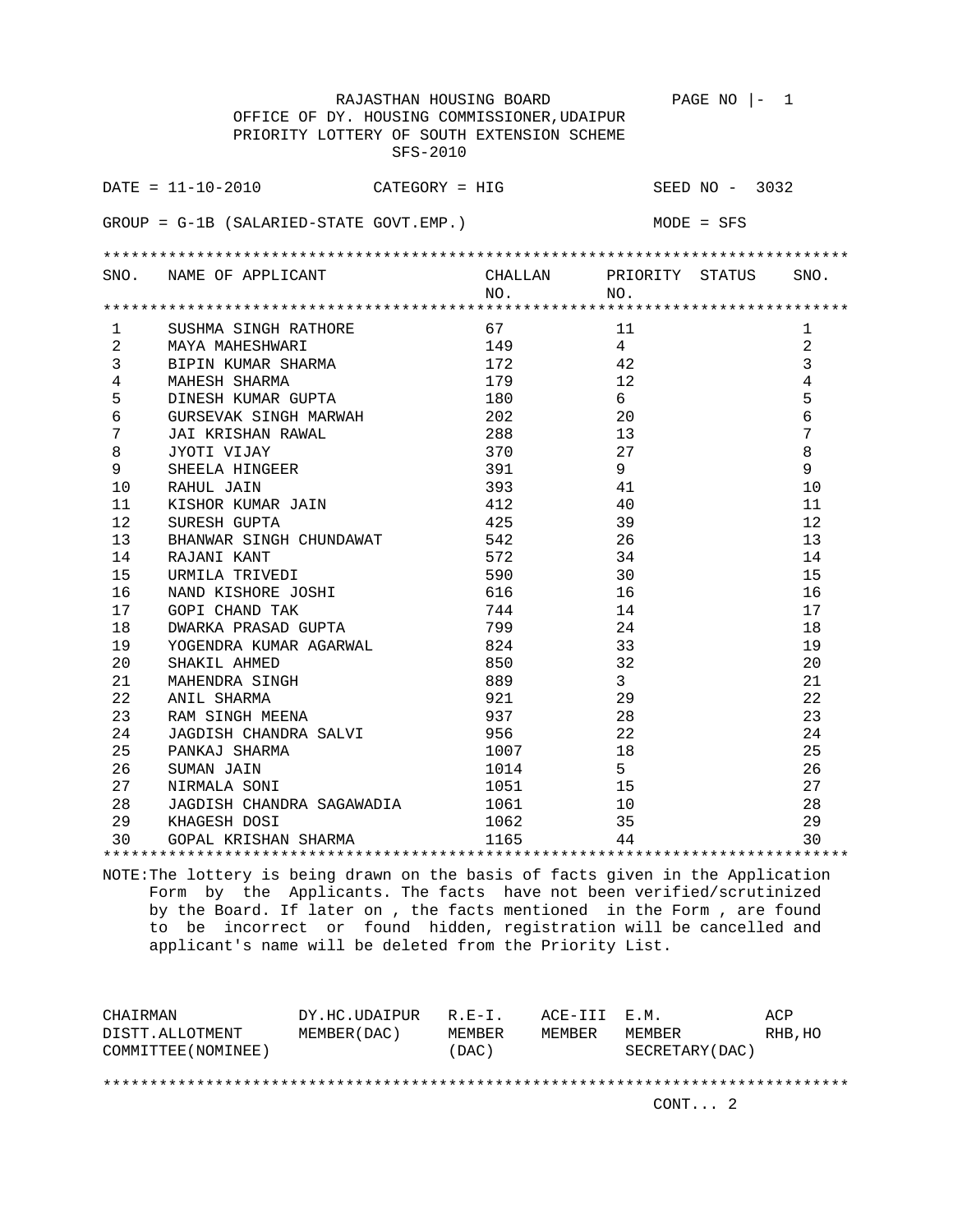|                                | RAJASTHAN HOUSING BOARD                                             |         | $PAGE NO$  -<br>$\overline{1}$ |                |
|--------------------------------|---------------------------------------------------------------------|---------|--------------------------------|----------------|
|                                | OFFICE OF DY. HOUSING COMMISSIONER, UDAIPUR                         |         |                                |                |
|                                | PRIORITY LOTTERY OF SOUTH EXTENSION SCHEME                          |         |                                |                |
|                                | SFS-2010                                                            |         |                                |                |
|                                |                                                                     |         |                                |                |
|                                | $\texttt{DATE} = 11 - 10 - 2010$ $\texttt{CATEGORY} = \texttt{HIG}$ |         | SEED $NO - 3032$               |                |
|                                |                                                                     |         |                                |                |
|                                | $GROUP = G-1B (SALARIED-STATE GOUT. EMP.)$                          |         | MODE = SFS                     |                |
|                                |                                                                     |         |                                |                |
|                                |                                                                     |         |                                |                |
| SNO.                           | NAME OF APPLICANT                                                   | CHALLAN | PRIORITY STATUS                | SNO.           |
|                                |                                                                     | NO.     | NO.                            |                |
|                                |                                                                     | 67      | 11                             |                |
| $\mathbf{1}$<br>$\overline{2}$ | SUSHMA SINGH RATHORE                                                | 149     | $4\overline{ }$                | 1<br>2         |
| 3                              | MAYA MAHESHWARI                                                     | 172     | 42                             | 3              |
| $\overline{4}$                 | BIPIN KUMAR SHARMA                                                  | 179     | 12                             | $\overline{4}$ |
| 5                              | MAHESH SHARMA                                                       | 180     | 6                              | 5              |
|                                | DINESH KUMAR GUPTA                                                  | 202     |                                | 6              |
| 6<br>7                         | GURSEVAK SINGH MARWAH                                               |         | 20                             | 7              |
|                                | JAI KRISHAN RAWAL                                                   | 288     | 13                             | 8              |
| 8                              | JYOTI VIJAY                                                         | 370     | 27<br>9                        | 9              |
| 9                              | SHEELA HINGEER                                                      | 391     |                                |                |
| 10                             | RAHUL JAIN                                                          | 393     | 41                             | 10             |
| 11                             | KISHOR KUMAR JAIN                                                   | 412     | 40                             | 11             |
| 12                             | SURESH GUPTA                                                        | 425     | 39                             | 12             |
| 13                             | BHANWAR SINGH CHUNDAWAT                                             | 542     | 26                             | 13             |
| 14                             | RAJANI KANT                                                         | 572     | 34                             | 14             |
| 15                             | URMILA TRIVEDI                                                      | 590     | 30                             | 15             |
| 16                             | NAND KISHORE JOSHI                                                  | 616     | 16                             | 16             |
| 17                             | GOPI CHAND TAK                                                      | 744     | 14                             | 17             |
| 18                             | DWARKA PRASAD GUPTA                                                 | 799     | 24                             | 18             |
| 19                             | YOGENDRA KUMAR AGARWAL                                              | 824     | 33                             | 19             |
| 20                             | SHAKIL AHMED                                                        | 850     | 32                             | 20             |
| 21                             | MAHENDRA SINGH                                                      | 889     | $\mathbf{3}$                   | 21             |
| 22                             | ANIL SHARMA                                                         | 921     | 29                             | 22             |
| 23                             | RAM SINGH MEENA                                                     | 937     | 28                             | 23             |
| 24                             | JAGDISH CHANDRA SALVI                                               | 956     | 2.2.                           | 24             |
| 25                             | PANKAJ SHARMA                                                       | 1007    | 18                             | 25             |
| 26                             | SUMAN JAIN                                                          | 1014    | 5 <sup>1</sup>                 | 26             |
| 27                             | NIRMALA SONI                                                        | 1051    | 15                             | 27             |
| 28                             | JAGDISH CHANDRA SAGAWADIA 1061                                      |         | 10                             | 28             |
| 29                             | KHAGESH DOSI                                                        | 1062    | 35                             | 29             |
| 30                             | GOPAL KRISHAN SHARMA                                                | 1165    | 44                             | 30             |
|                                |                                                                     |         |                                |                |

| CHAIRMAN            | DY.HC.UDAIPUR | $R.F - T$ | ACE-III E.M. |                 | ACP     |  |  |
|---------------------|---------------|-----------|--------------|-----------------|---------|--|--|
| DISTT.ALLOTMENT     | MEMBER (DAC)  | MEMBER    | MEMBER       | MEMBER          | RHB, HO |  |  |
| COMMITTEE (NOMINEE) |               | (DAC)     |              | SECRETARY (DAC) |         |  |  |
|                     |               |           |              |                 |         |  |  |
|                     |               |           |              |                 |         |  |  |
|                     |               |           |              | CONT. 2         |         |  |  |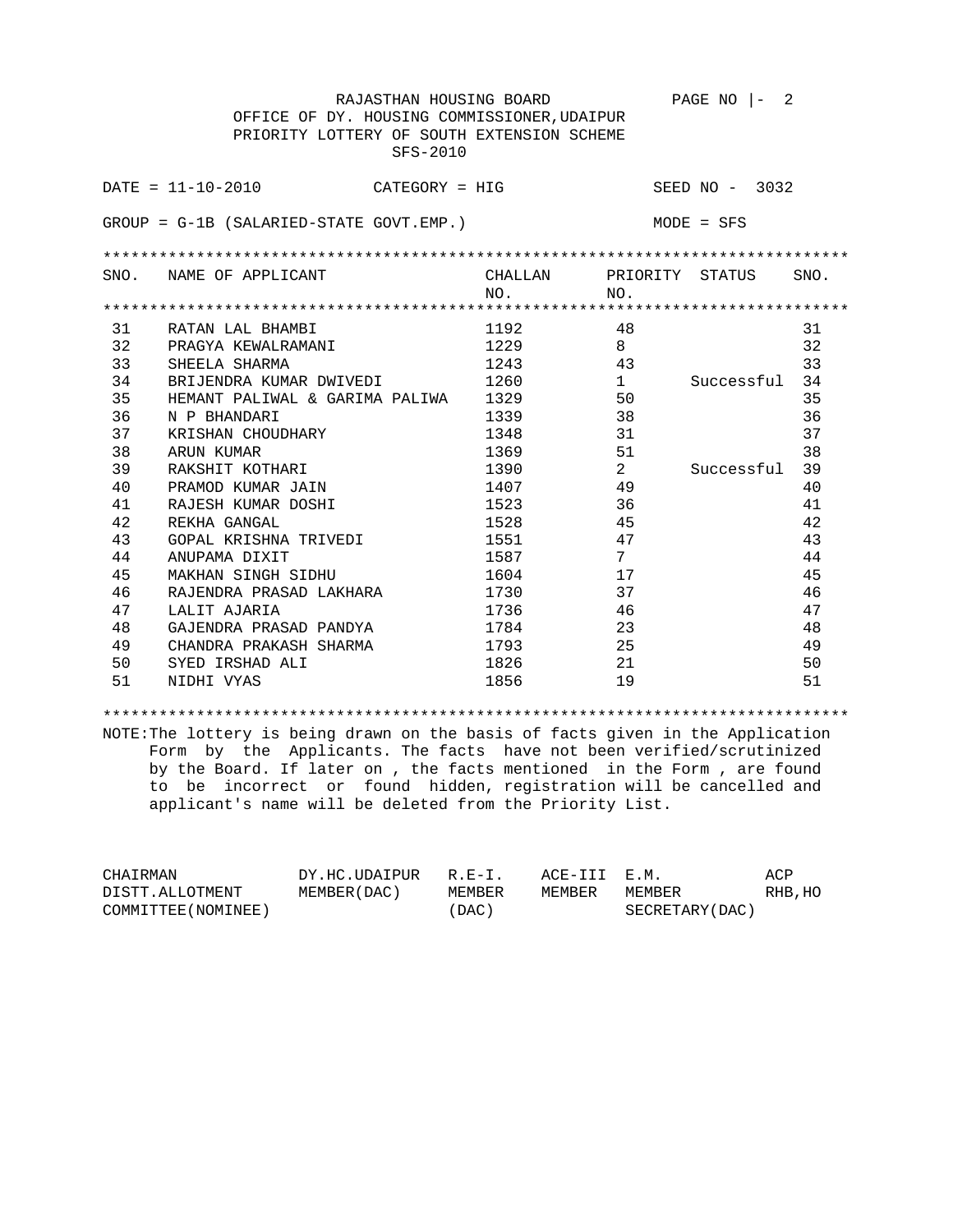|    | RAJASTHAN HOUSING BOARD                     |                                                                                                                                                                                                                               |                 | $PAGE NO$ $ -$ | 2    |
|----|---------------------------------------------|-------------------------------------------------------------------------------------------------------------------------------------------------------------------------------------------------------------------------------|-----------------|----------------|------|
|    | OFFICE OF DY. HOUSING COMMISSIONER, UDAIPUR |                                                                                                                                                                                                                               |                 |                |      |
|    | PRIORITY LOTTERY OF SOUTH EXTENSION SCHEME  |                                                                                                                                                                                                                               |                 |                |      |
|    | SFS-2010                                    |                                                                                                                                                                                                                               |                 |                |      |
|    |                                             |                                                                                                                                                                                                                               |                 |                |      |
|    | $DATA = 11 - 10 - 2010$<br>CATEGORY = HIG   |                                                                                                                                                                                                                               |                 | SEED NO - 3032 |      |
|    |                                             |                                                                                                                                                                                                                               |                 |                |      |
|    | GROUP = G-1B (SALARIED-STATE GOVT.EMP.)     |                                                                                                                                                                                                                               |                 | MODE = SFS     |      |
|    |                                             |                                                                                                                                                                                                                               |                 |                |      |
|    | SNO. NAME OF APPLICANT                      | CHALLAN PRIORITY STATUS                                                                                                                                                                                                       |                 |                | SNO. |
|    |                                             | NO.                                                                                                                                                                                                                           | NO.             |                |      |
|    |                                             |                                                                                                                                                                                                                               |                 |                |      |
| 31 | RATAN LAL BHAMBI                            | 1192                                                                                                                                                                                                                          | 48              |                | 31   |
| 32 | PRAGYA KEWALRAMANI                          | 1229                                                                                                                                                                                                                          | 8               |                | 32   |
| 33 | SHEELA SHARMA                               | 1243                                                                                                                                                                                                                          | 43              |                | 33   |
| 34 | BRIJENDRA KUMAR DWIVEDI                     | 1260                                                                                                                                                                                                                          | 1               | Successful     | 34   |
| 35 | HEMANT PALIWAL & GARIMA PALIWA 1329         |                                                                                                                                                                                                                               | 50              |                | 35   |
| 36 | N P BHANDARI                                | 1339                                                                                                                                                                                                                          | 38              |                | 36   |
| 37 | KRISHAN CHOUDHARY                           | 1348                                                                                                                                                                                                                          | 31              |                | 37   |
| 38 | ARUN KUMAR                                  | 1369                                                                                                                                                                                                                          | 51              |                | 38   |
| 39 | RAKSHIT KOTHARI                             | 1390                                                                                                                                                                                                                          | $\overline{a}$  | Successful     | 39   |
| 40 | PRAMOD KUMAR JAIN                           | 1407   1407   1508   1510   1520   1521   1522   1522   1522   1522   1522   1523   1523   1523   1524   1525   1525   1525   1525   1525   1525   1525   1525   1525   1525   1525   1525   1525   1525   1525   1525   1525 | 49              |                | 40   |
| 41 | RAJESH KUMAR DOSHI                          | 1523                                                                                                                                                                                                                          | 36              |                | 41   |
| 42 | REKHA GANGAL                                | 1528                                                                                                                                                                                                                          | 45              |                | 42   |
| 43 | GOPAL KRISHNA TRIVEDI                       | 1551                                                                                                                                                                                                                          | 47              |                | 43   |
| 44 | ANUPAMA DIXIT                               | 1587                                                                                                                                                                                                                          | $7\phantom{.0}$ |                | 44   |
| 45 | MAKHAN SINGH SIDHU                          | 1604                                                                                                                                                                                                                          | 17              |                | 45   |
| 46 | RAJENDRA PRASAD LAKHARA                     | 1730                                                                                                                                                                                                                          | 37              |                | 46   |
| 47 | LALIT AJARIA                                | 1736                                                                                                                                                                                                                          | 46              |                | 47   |
| 48 | GAJENDRA PRASAD PANDYA                      | 1784                                                                                                                                                                                                                          | 23              |                | 48   |
| 49 | CHANDRA PRAKASH SHARMA                      | 1793                                                                                                                                                                                                                          | 25              |                | 49   |
| 50 | SYED IRSHAD ALI                             | 1826                                                                                                                                                                                                                          | 21              |                | 50   |
| 51 | NIDHI VYAS                                  | 1856                                                                                                                                                                                                                          | 19              |                | 51   |

\*\*\*\*\*\*\*\*\*\*\*\*\*\*\*\*\*\*\*\*\*\*\*\*\*\*\*\*\*\*\*\*\*\*\*\*\*\*\*\*\*\*\*\*\*\*\*\*\*\*\*\*\*\*\*\*\*\*\*\*\*\*\*\*\*\*\*\*\*\*\*\*\*\*\*\*\*\*\*\*

| CHAIRMAN            | DY.HC.UDAIPUR | $R.E-I.$ | ACE-III E.M. |                 | ACP     |
|---------------------|---------------|----------|--------------|-----------------|---------|
| DISTT.ALLOTMENT     | MEMBER (DAC ) | MEMBER   | MEMBER       | MEMBER          | RHB, HO |
| COMMITTEE (NOMINEE) |               | 'DAC)    |              | SECRETARY (DAC) |         |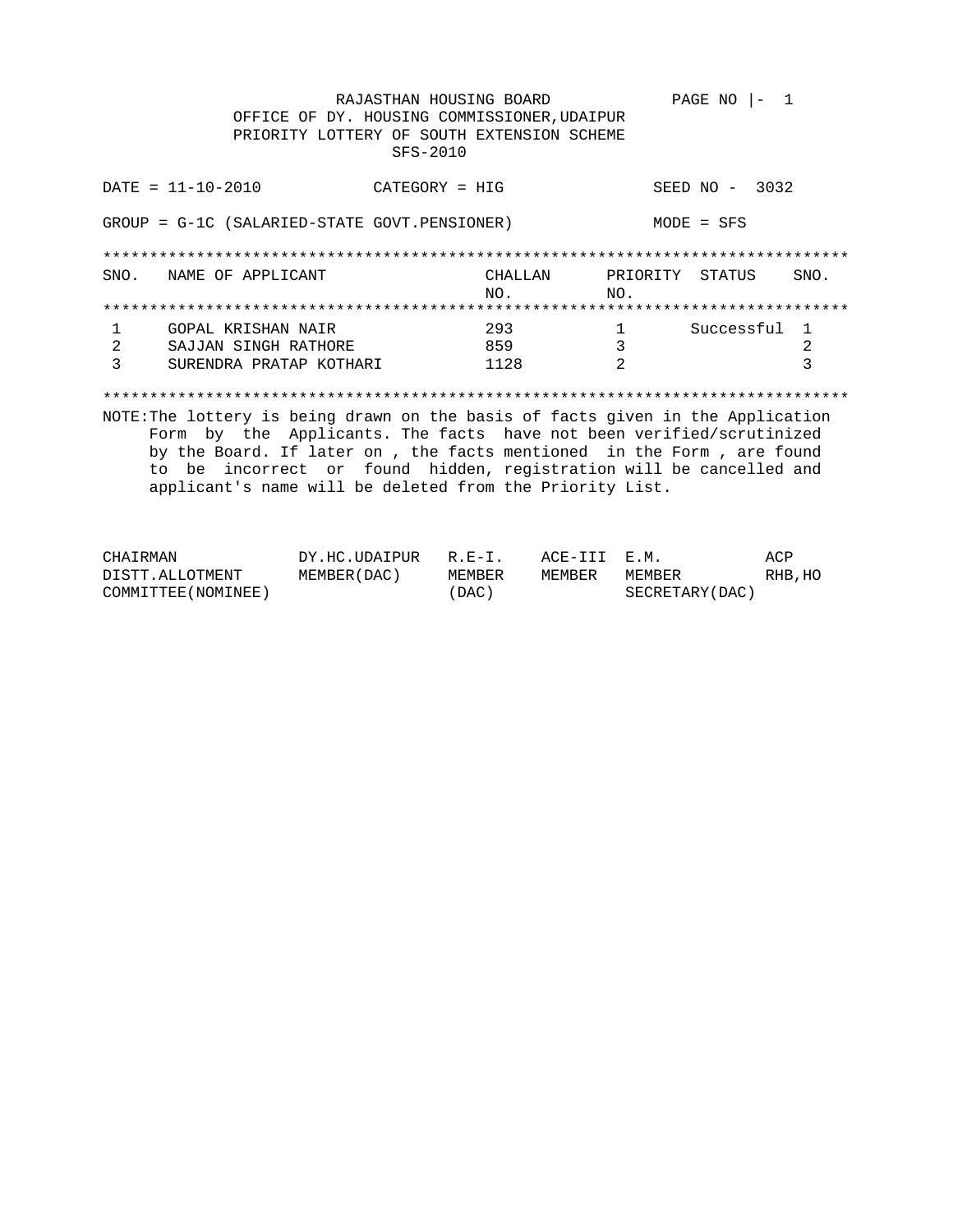RAJASTHAN HOUSING BOARD PAGE NO  $|-1$ OFFICE OF DY. HOUSING COMMISSIONER, UDAIPUR PRIORITY LOTTERY OF SOUTH EXTENSION SCHEME SFS-2010  $DATA = 11 - 10 - 2010$ SEED NO - 3032  $CATEGORY = HIG$ GROUP = G-1C (SALARIED-STATE GOVT.PENSIONER)  $MODE = SFS$ CHALLAN PRIORITY STATUS<br>NO. NO. SNO. NAME OF APPLICANT SNO.

NO. 1 Successful 1 GOPAL KRISHAN NAIR 293  $\mathbf{1}$ 859  $\overline{\mathbf{3}}$ SAJJAN SINGH RATHORE  $\overline{2}$  $2^{\circ}$ SURENDRA PRATAP KOTHARI 1128  $\overline{2}$  $\overline{3}$  $\mathcal{E}$ 

| CHAIRMAN            | DY.HC.UDAIPUR R.E-I. |        | ACE-III E.M. |                 | ACP     |
|---------------------|----------------------|--------|--------------|-----------------|---------|
| DISTT.ALLOTMENT     | MEMBER ( DAC )       | MEMBER | MEMBER       | MEMBER          | RHB, HO |
| COMMITTEE (NOMINEE) |                      | (DAC)  |              | SECRETARY (DAC) |         |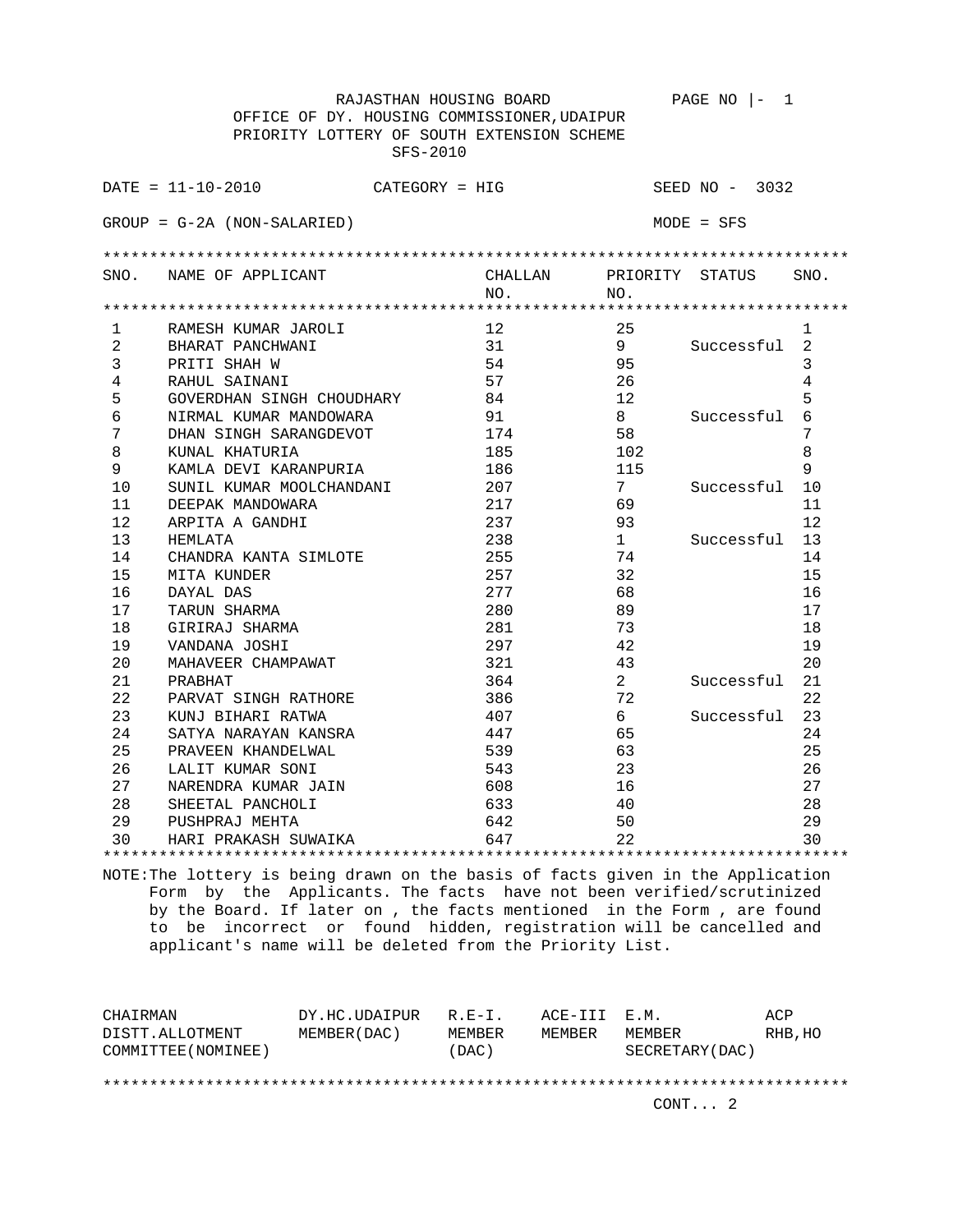|                | RAJASTHAN HOUSING BOARD                     |         |                 | PAGE NO<br>1     |      |  |  |  |
|----------------|---------------------------------------------|---------|-----------------|------------------|------|--|--|--|
|                | OFFICE OF DY. HOUSING COMMISSIONER, UDAIPUR |         |                 |                  |      |  |  |  |
|                | PRIORITY LOTTERY OF SOUTH EXTENSION SCHEME  |         |                 |                  |      |  |  |  |
|                | SFS-2010                                    |         |                 |                  |      |  |  |  |
|                |                                             |         |                 |                  |      |  |  |  |
|                | $DATA = 11 - 10 - 2010$<br>$CATEGORY = HIG$ |         |                 | SEED $NO - 3032$ |      |  |  |  |
|                |                                             |         |                 |                  |      |  |  |  |
|                | $GROUP = G-2A (NON-SALARIED)$               |         |                 | $MODE = SFS$     |      |  |  |  |
|                |                                             |         |                 |                  |      |  |  |  |
|                |                                             |         |                 |                  |      |  |  |  |
| SNO.           | NAME OF APPLICANT                           | CHALLAN | PRIORITY STATUS |                  | SNO. |  |  |  |
|                |                                             | NO.     | NO.             |                  |      |  |  |  |
|                |                                             |         |                 |                  |      |  |  |  |
| $\mathbf{1}$   | RAMESH KUMAR JAROLI                         | 12      | 25              |                  | 1    |  |  |  |
| $\overline{2}$ | BHARAT PANCHWANI                            | 31      | 9               | Successful       | 2    |  |  |  |
| 3              | PRITI SHAH W                                | 54      | 95              |                  | 3    |  |  |  |
| 4              | RAHUL SAINANI                               | 57      | 26              |                  | 4    |  |  |  |
| 5              | GOVERDHAN SINGH CHOUDHARY                   | 84      | 12              |                  | 5    |  |  |  |
| 6              | NIRMAL KUMAR MANDOWARA                      | 91      | 8               | Successful       | 6    |  |  |  |
| 7              | DHAN SINGH SARANGDEVOT                      | 174     | 58              |                  | 7    |  |  |  |
| 8              | KUNAL KHATURIA                              | 185     | 102             |                  | 8    |  |  |  |
| 9              | KAMLA DEVI KARANPURIA                       | 186     | 115             |                  | 9    |  |  |  |
| 10             | SUNIL KUMAR MOOLCHANDANI                    | 207     | $7\phantom{.}$  | Successful       | 10   |  |  |  |
| 11             | DEEPAK MANDOWARA                            | 217     | 69              |                  | 11   |  |  |  |
| 12             | ARPITA A GANDHI                             | 237     | 93              |                  | 12   |  |  |  |
| 13             | HEMLATA                                     | 238     | $\mathbf{1}$    | Successful       | 13   |  |  |  |
| 14             | CHANDRA KANTA SIMLOTE                       | 255     | 74              |                  | 14   |  |  |  |
| 15             | MITA KUNDER                                 | 257     | 32              |                  | 15   |  |  |  |
| 16             | DAYAL DAS                                   | 277     | 68              |                  | 16   |  |  |  |
| 17             | TARUN SHARMA                                | 280     | 89              |                  | 17   |  |  |  |
| 18             | GIRIRAJ SHARMA                              | 281     | 73              |                  | 18   |  |  |  |
| 19             | VANDANA JOSHI                               | 297     | 42              |                  | 19   |  |  |  |
| 20             | MAHAVEER CHAMPAWAT                          | 321     | 43              |                  | 20   |  |  |  |
| 21             | PRABHAT                                     | 364     | $\overline{a}$  | Successful       | 21   |  |  |  |
| 22             | PARVAT SINGH RATHORE                        | 386     | 72              |                  | 22   |  |  |  |
| 23             | KUNJ BIHARI RATWA                           | 407     | 6               | Successful       | 23   |  |  |  |
| 24             | SATYA NARAYAN KANSRA                        | 447     | 65              |                  | 24   |  |  |  |
| 25             | PRAVEEN KHANDELWAL                          | 539     | 63              |                  | 25   |  |  |  |
| 26             | LALIT KUMAR SONI                            | 543     | 23              |                  | 26   |  |  |  |
| 27             | NARENDRA KUMAR JAIN                         | 608     | 16              |                  | 27   |  |  |  |
| 28             | SHEETAL PANCHOLI                            | 633     | 40              |                  | 28   |  |  |  |
| 29             | PUSHPRAJ MEHTA                              | 642     | 50              |                  | 29   |  |  |  |
| 30             | HARI PRAKASH SUWAIKA                        | 647     | 22              |                  | 30   |  |  |  |
|                |                                             |         |                 |                  |      |  |  |  |

| DY.HC.UDAIPUR |        |             |                 | ACP          |  |  |  |
|---------------|--------|-------------|-----------------|--------------|--|--|--|
| MEMBER (DAC)  | MEMBER | MEMBER      | MEMBER          | RHB, HO      |  |  |  |
|               | (DAC)  |             | SECRETARY (DAC) |              |  |  |  |
|               |        |             |                 |              |  |  |  |
|               |        |             |                 |              |  |  |  |
|               |        |             | CONT. 2         |              |  |  |  |
|               |        | $R. F - T.$ |                 | ACE-III E.M. |  |  |  |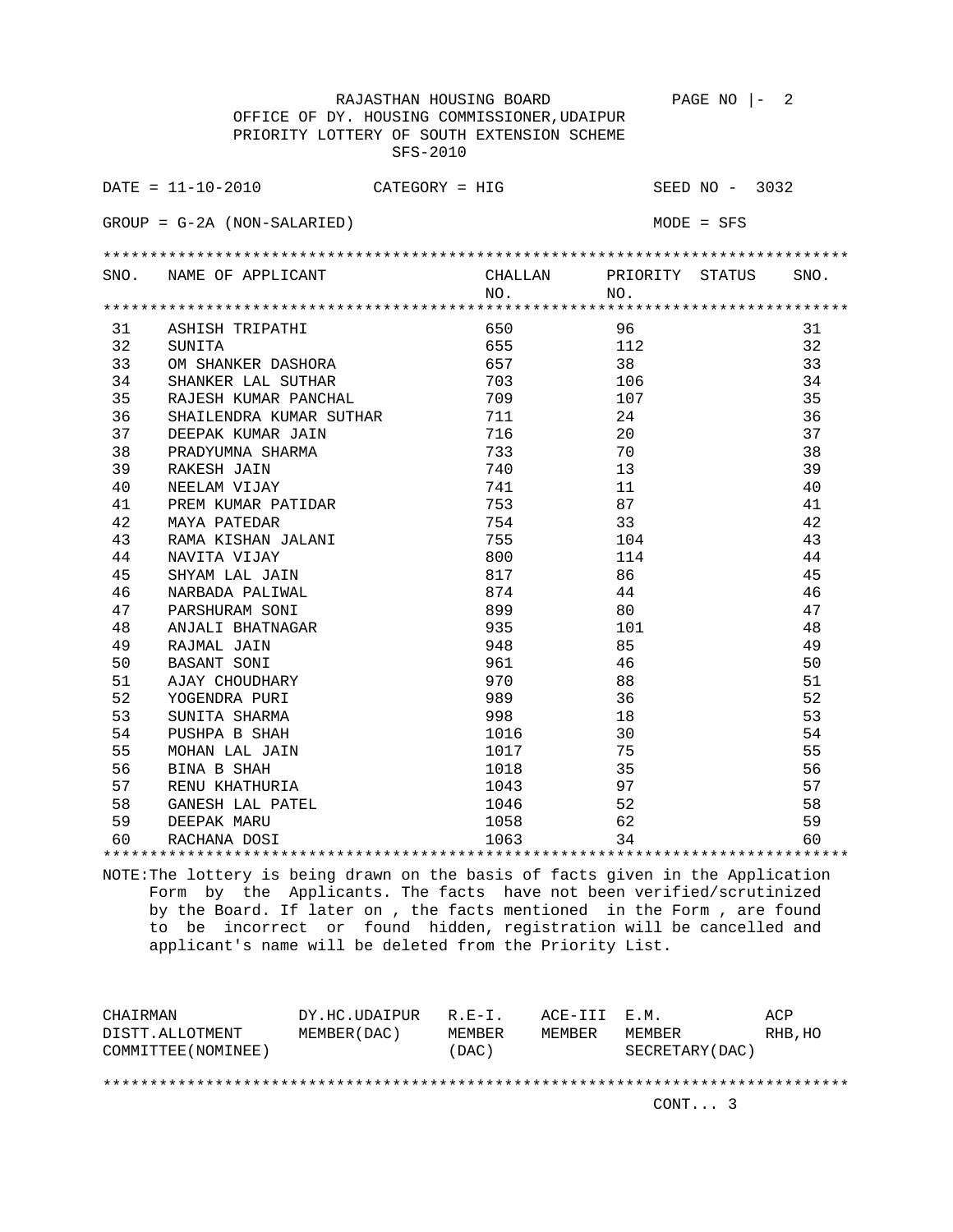RAJASTHAN HOUSING BOARD PAGE NO  $|-2$  OFFICE OF DY. HOUSING COMMISSIONER,UDAIPUR PRIORITY LOTTERY OF SOUTH EXTENSION SCHEME SFS-2010 DATE = 11-10-2010 CATEGORY = HIG SEED NO - 3032 GROUP = G-2A (NON-SALARIED) MODE = SFS \*\*\*\*\*\*\*\*\*\*\*\*\*\*\*\*\*\*\*\*\*\*\*\*\*\*\*\*\*\*\*\*\*\*\*\*\*\*\*\*\*\*\*\*\*\*\*\*\*\*\*\*\*\*\*\*\*\*\*\*\*\*\*\*\*\*\*\*\*\*\*\*\*\*\*\*\*\*\*\* SNO. NAME OF APPLICANT CHALLAN PRIORITY STATUS SNO. NO. NO. \*\*\*\*\*\*\*\*\*\*\*\*\*\*\*\*\*\*\*\*\*\*\*\*\*\*\*\*\*\*\*\*\*\*\*\*\*\*\*\*\*\*\*\*\*\*\*\*\*\*\*\*\*\*\*\*\*\*\*\*\*\*\*\*\*\*\*\*\*\*\*\*\*\*\*\*\*\*\*\* 31 ASHISH TRIPATHI 650 96 31<br>32 SUNITA 655 112 32 32 SUNITA 32 SUNITA 32<br>33 OM SHANKER DASHORA 657 38 33 33 OM SHANKER DASHORA 657 38 33 34 SHANKER LAL SUTHAR 703 106 34 35 RAJESH KUMAR PANCHAL 109 107 107 35 36 SHAILENDRA KUMAR SUTHAR 711 24 24 36 37 DEEPAK KUMAR JAIN 716 20 37 38 PRADYUMNA SHARMA 733 70 38 39 RAKESH JAIN 740 13 39 40 NEELAM VIJAY 741 11 40 41 PREM KUMAR PATIDAR 753 87 41 42 MAYA PATEDAR 754 33 42 43 RAMA KISHAN JALANI 755 104 43 44 NAVITA VIJAY 800 114 44 45 SHYAM LAL JAIN 817 86 45 46 NARBADA PALIWAL 874 44 46 47 PARSHURAM SONI 899 80 80 47 48 ANJALI BHATNAGAR 935 101 48 49 RAJMAL JAIN 948 85 49 50 BASANT SONI 961 46 50 51 AJAY CHOUDHARY 970 88 51 52 YOGENDRA PURI 989 36 52 53 SUNITA SHARMA 61 18 998 18 54 PUSHPA B SHAH 1016 30 54 54 55 MOHAN LAL JAIN 1017 75 55 56 BINA B SHAH 1018 35 56 57 RENU KHATHURIA 1043 97 57 58 GANESH LAL PATEL 1046 52 58<br>59 DEEPAK MARU 1058 62 59 59 DEEPAK MARU 1058 62 59 60 RACHANA DOSI 1063 34 60

NOTE:The lottery is being drawn on the basis of facts given in the Application Form by the Applicants. The facts have not been verified/scrutinized by the Board. If later on , the facts mentioned in the Form , are found to be incorrect or found hidden, registration will be cancelled and applicant's name will be deleted from the Priority List.

\*\*\*\*\*\*\*\*\*\*\*\*\*\*\*\*\*\*\*\*\*\*\*\*\*\*\*\*\*\*\*\*\*\*\*\*\*\*\*\*\*\*\*\*\*\*\*\*\*\*\*\*\*\*\*\*\*\*\*\*\*\*\*\*\*\*\*\*\*\*\*\*\*\*\*\*\*\*\*\*

| CHAIRMAN            | DY.HC.UDAIPUR | $R. F - T.$ | ACE-III E.M. |                 | ACP     |  |  |
|---------------------|---------------|-------------|--------------|-----------------|---------|--|--|
| DISTT.ALLOTMENT     | MEMBER (DAC)  | MEMBER      | MEMBER       | MEMBER          | RHB, HO |  |  |
| COMMITTEE (NOMINEE) |               | (DAC)       |              | SECRETARY (DAC) |         |  |  |
|                     |               |             |              |                 |         |  |  |
|                     |               |             |              |                 |         |  |  |
|                     |               |             |              | CONT. 3         |         |  |  |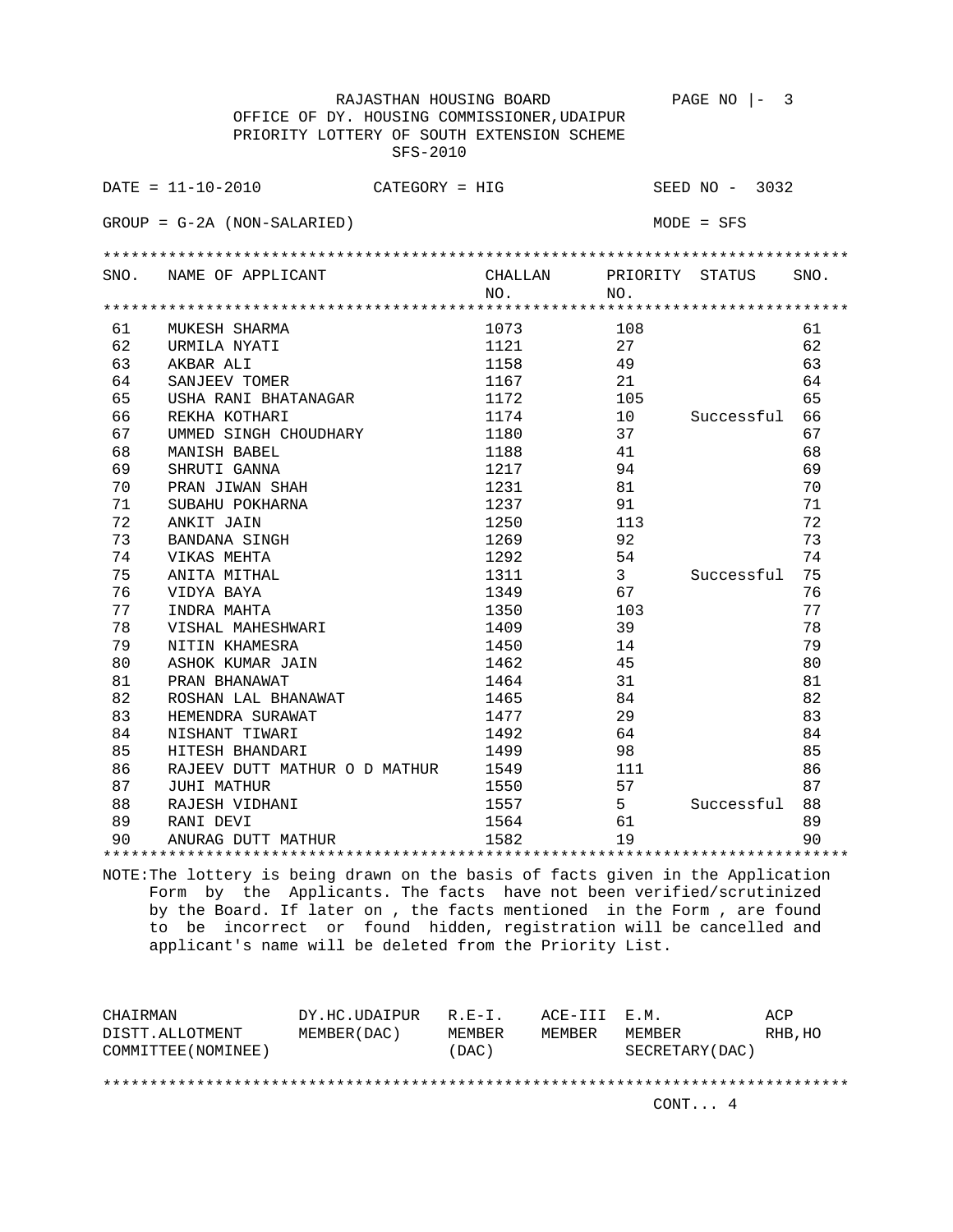RAJASTHAN HOUSING BOARD PAGE NO |- 3 OFFICE OF DY. HOUSING COMMISSIONER,UDAIPUR PRIORITY LOTTERY OF SOUTH EXTENSION SCHEME SFS-2010 DATE = 11-10-2010 CATEGORY = HIG SEED NO - 3032 GROUP = G-2A (NON-SALARIED) MODE = SFS \*\*\*\*\*\*\*\*\*\*\*\*\*\*\*\*\*\*\*\*\*\*\*\*\*\*\*\*\*\*\*\*\*\*\*\*\*\*\*\*\*\*\*\*\*\*\*\*\*\*\*\*\*\*\*\*\*\*\*\*\*\*\*\*\*\*\*\*\*\*\*\*\*\*\*\*\*\*\*\* SNO. NAME OF APPLICANT CHALLAN PRIORITY STATUS SNO. NO. NO. \*\*\*\*\*\*\*\*\*\*\*\*\*\*\*\*\*\*\*\*\*\*\*\*\*\*\*\*\*\*\*\*\*\*\*\*\*\*\*\*\*\*\*\*\*\*\*\*\*\*\*\*\*\*\*\*\*\*\*\*\*\*\*\*\*\*\*\*\*\*\*\*\*\*\*\*\*\*\*\* 61 MUKESH SHARMA 1073 108 61 62 URMILA NYATI 1121 27 62 63 AKBAR ALI 1158 49 63 64 SANJEEV TOMER 1167 21 64 65 USHA RANI BHATANAGAR 1172 105 65 66 REKHA KOTHARI 1174 10 Successful 66 67 UMMED SINGH CHOUDHARY 1180<br>68 MANISH BABEL 68 MANISH BABEL 1188 41 68 69 SHRUTI GANNA 1217 94 69 70 PRAN JIWAN SHAH 1231 81 81 70 71 SUBAHU POKHARNA 1237 91 71 72 ANKIT JAIN 1250 113 72 1269 92 73<br>
1269 92 73<br>
74 VIKAS MEHTA<br>
75 ANITA MITHAL 1311 3 Successful 75<br>
76 VIDYA BAYA 1349 67<br>
77 TREAD 1292 54 74<br>The Magnus of the Case of the 1292 54<br>The Successful 75 2012 54 75 ANITA MITHAL 1311<br>76 VIDYA BAYA 1349 76 VIDYA BAYA 1349 67 76 77 INDRA MAHTA 1350 103 77 78 VISHAL MAHESHWARI 1409 39 78 79 NITIN KHAMESRA 1450 14 79 80 ASHOK KUMAR JAIN 1462 45 80<br>
81 PRAN BHANAWAT 1464 31 81<br>
82 ROSHAN LAL BHANAWAT 1465 84 82 81 **PRAN BHANAWAT** 1464 31 81 81 82 ROSHAN LAL BHANAWAT 1465 84 82 83 HEMENDRA SURAWAT 1477 29 83 84 NISHANT TIWARI 1492 64 84 85 HITESH BHANDARI 1499 98 85 86 RAJEEV DUTT MATHUR O D MATHUR 1549 111 11 167 100 111 167 1686 1691 1691 1692 1694 1696 1697 1697 1697 169 87 JUHI MATHUR 1550 57 87 88 RAJESH VIDHANI 1557 5 Successful 88 86 RAJEEV DUTT MATHUR O D MATHUR 1549 111 86<br>
87 JUHI MATHUR 1560 57 87<br>
88 RAJESH VIDHANI 1557 5 Successful 88<br>
89 RANI DEVI 1564 61 89<br>
89 ANURAG DUTT MATHUR 1582 19 90 90 ANURAG DUTT MATHUR 1582 19 19 90 \*\*\*\*\*\*\*\*\*\*\*\*\*\*\*\*\*\*\*\*\*\*\*\*\*\*\*\*\*\*\*\*\*\*\*\*\*\*\*\*\*\*\*\*\*\*\*\*\*\*\*\*\*\*\*\*\*\*\*\*\*\*\*\*\*\*\*\*\*\*\*\*\*\*\*\*\*\*\*\*

| CHAIRMAN            | DY.HC.UDAIPUR | $R.F - T$ . | ACE-III E.M. |                 | ACP      |  |  |
|---------------------|---------------|-------------|--------------|-----------------|----------|--|--|
| DISTT.ALLOTMENT     | MEMBER (DAC)  | MEMBER      | MEMBER       | MEMBER          | RHB , HO |  |  |
| COMMITTEE (NOMINEE) |               | (DAC)       |              | SECRETARY (DAC) |          |  |  |
|                     |               |             |              |                 |          |  |  |
|                     |               |             |              |                 |          |  |  |
|                     |               |             |              | CONT 4          |          |  |  |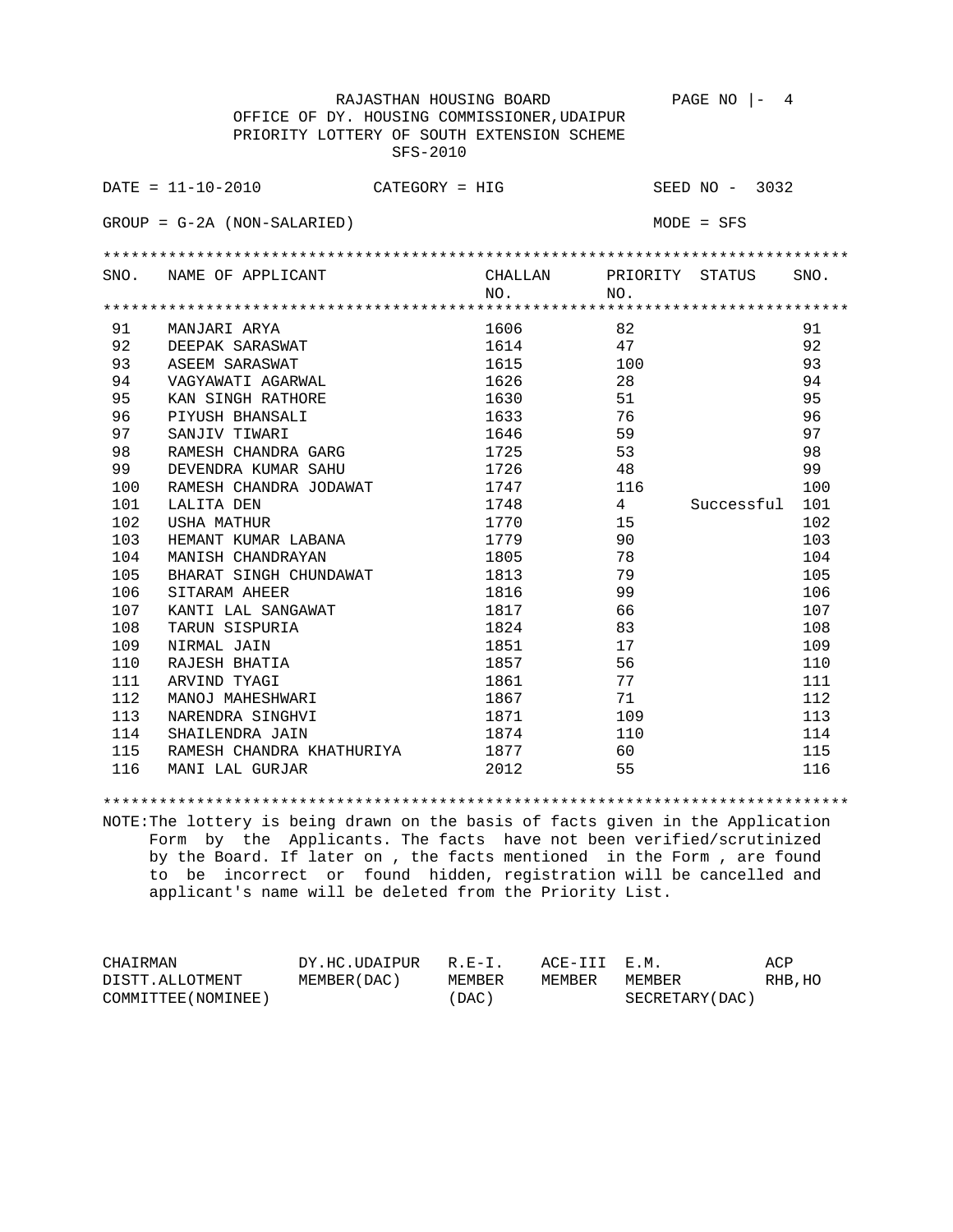RAJASTHAN HOUSING BOARD PAGE NO |- 4 OFFICE OF DY. HOUSING COMMISSIONER,UDAIPUR PRIORITY LOTTERY OF SOUTH EXTENSION SCHEME SFS-2010 DATE = 11-10-2010 CATEGORY = HIG SEED NO - 3032 GROUP = G-2A (NON-SALARIED) MODE = SFS \*\*\*\*\*\*\*\*\*\*\*\*\*\*\*\*\*\*\*\*\*\*\*\*\*\*\*\*\*\*\*\*\*\*\*\*\*\*\*\*\*\*\*\*\*\*\*\*\*\*\*\*\*\*\*\*\*\*\*\*\*\*\*\*\*\*\*\*\*\*\*\*\*\*\*\*\*\*\*\* SNO. NAME OF APPLICANT CHALLAN PRIORITY STATUS SNO. NO. NO. \*\*\*\*\*\*\*\*\*\*\*\*\*\*\*\*\*\*\*\*\*\*\*\*\*\*\*\*\*\*\*\*\*\*\*\*\*\*\*\*\*\*\*\*\*\*\*\*\*\*\*\*\*\*\*\*\*\*\*\*\*\*\*\*\*\*\*\*\*\*\*\*\*\*\*\*\*\*\*\* 91 MANJARI ARYA 1606 82 91 92 DEEPAK SARASWAT 1614 1614 47 92 93 ASEEM SARASWAT 1615 1615 1610 1610 1610 161 94 VAGYAWATI AGARWAL 1626 28 28 94 95 KAN SINGH RATHORE 1630 51 95<br>
96 PIYUSH BHANSALI 1630 51 95<br>
97 SANJIV TIWARI 1646 59 97<br>
RAMESH CHANDRA GARG 1725 53 98<br>
PIYUSH BHANSALI 1646 59 97<br>
RAMESH CHANDRA GARG 1725 53 96 PIYUSH BHANSALI 1633 76 96 97 SANJIV TIWARI 1646 59 59 59 59 98 RAMESH CHANDRA GARG 1725 53 53 98 99 DEVENDRA KUMAR SAHU 1726 48 99 100 RAMESH CHANDRA JODAWAT 1747 116 100 101 LALITA DEN 1748 4 Successful 101 102 USHA MATHUR 1770 15 102 103 HEMANT KUMAR LABANA 1779 90 103 104 MANISH CHANDRAYAN 1805 78 78 104 105 BHARAT SINGH CHUNDAWAT 1813 79<br>106 SITARAM AHEER 1816 99 106 106 106 SITARAM AHEER 1816 1816 99 107 KANTI LAL SANGAWAT 1817 1817 66 107 107 108 TARUN SISPURIA 1824 83 108 109 NIRMAL JAIN 1851 17 109 110 RAJESH BHATIA 1857 56 56 110 111 ARVIND TYAGI 1861 1861 77 111<br>112 MANOJ MAHESHWARI 1867 71 112 112 MANOJ MAHESHWARI 1867 1867 71 112 113 NARENDRA SINGHVI 1871 109 113 114 SHAILENDRA JAIN 1874 110 114 115 RAMESH CHANDRA KHATHURIYA 1877 60 60 115 116 MANI LAL GURJAR 2012 55 116

## \*\*\*\*\*\*\*\*\*\*\*\*\*\*\*\*\*\*\*\*\*\*\*\*\*\*\*\*\*\*\*\*\*\*\*\*\*\*\*\*\*\*\*\*\*\*\*\*\*\*\*\*\*\*\*\*\*\*\*\*\*\*\*\*\*\*\*\*\*\*\*\*\*\*\*\*\*\*\*\*

| CHAIRMAN            | DY.HC.UDAIPUR | $R.F-T$ | ACE-III E.M. |                 | ACP     |
|---------------------|---------------|---------|--------------|-----------------|---------|
| DISTT.ALLOTMENT     | MEMBER (DAC)  | MEMBER  | MEMBER       | MEMBER          | RHB, HO |
| COMMITTEE (NOMINEE) |               | (DAC)   |              | SECRETARY (DAC) |         |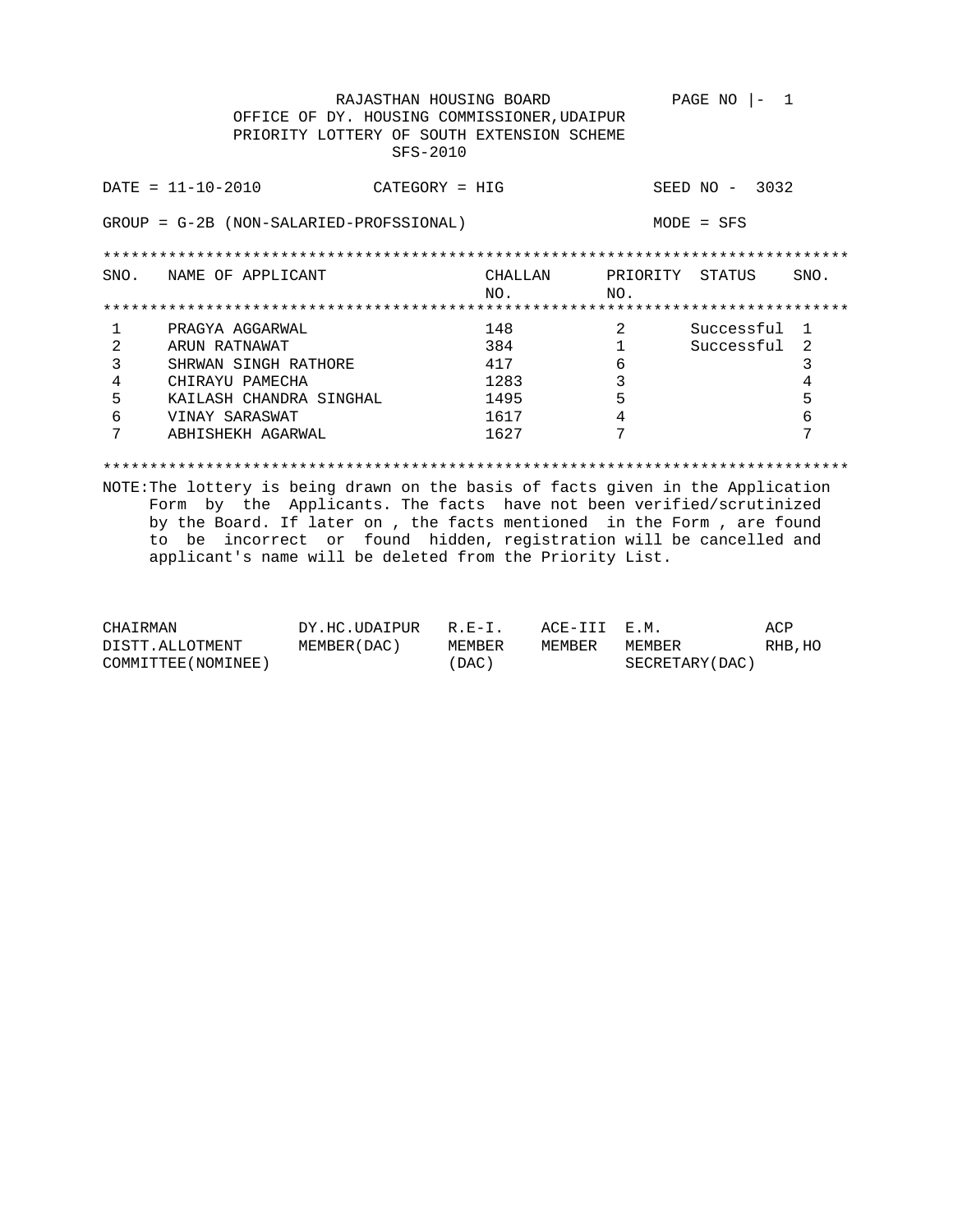RAJASTHAN HOUSING BOARD PAGE NO  $|-1$ OFFICE OF DY. HOUSING COMMISSIONER, UDAIPUR PRIORITY LOTTERY OF SOUTH EXTENSION SCHEME SFS-2010  $DATA = 11 - 10 - 2010$ CATEGORY = HIG SEED NO - 3032 GROUP = G-2B (NON-SALARIED-PROFSSIONAL)  $MODE = SFS$ CHALLAN PRIORITY STATUS<br>NO. NO. SNO. NAME OF APPLICANT SNO.  $NO<sub>1</sub>$ 148 2 Successful 1<br>384 1 Successful 2<br>417 6 PRAGYA AGGARWAL  $\mathbf{1}$ ARUN RATNAWAT 384  $\overline{2}$ SHRWAN SINGH RATHORE  $\overline{\mathbf{3}}$  $3<sup>7</sup>$ 6 417  $4\overline{ }$ CHIRAYU PAMECHA 1283  $\overline{\mathbf{3}}$  $\overline{4}$  $5<sup>7</sup>$ KAILASH CHANDRA SINGHAL  $5<sup>5</sup>$ 1495 - 5 VINAY SARASWAT  $6<sup>1</sup>$ 1617  $\overline{4}$ **6**  $7\overline{ }$  $7\phantom{.0}$  $7\overline{ }$ ABHISHEKH AGARWAL 1627

| CHAIRMAN            | DY.HC.UDAIPUR | $R.E-I$ | ACE-III E.M. |                 | ACP     |
|---------------------|---------------|---------|--------------|-----------------|---------|
| DISTT.ALLOTMENT     | MEMBER (DAC ) | MEMBER  | MEMBER       | MEMBER          | RHB, HO |
| COMMITTEE (NOMINEE) |               | (DAC)   |              | SECRETARY (DAC) |         |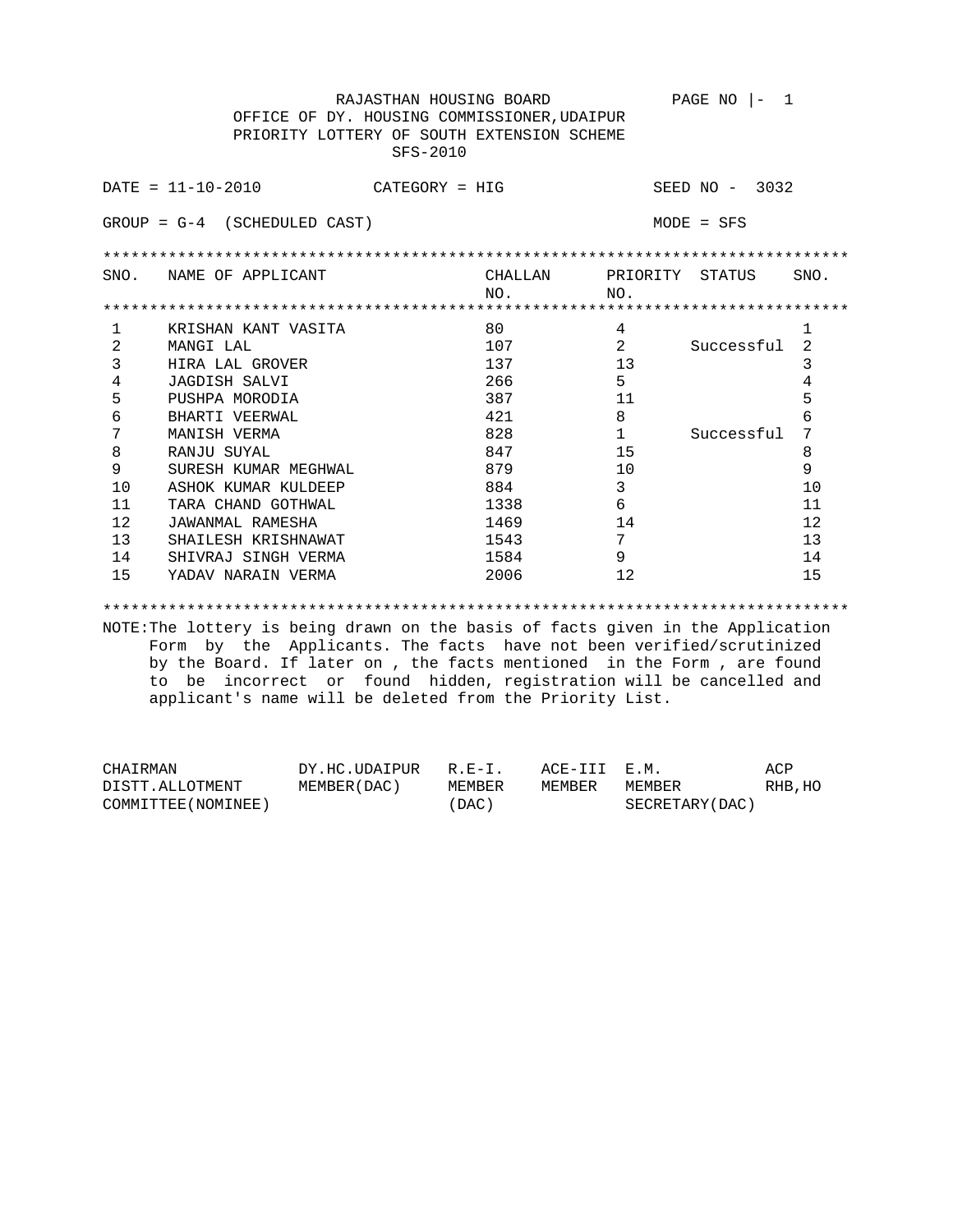RAJASTHAN HOUSING BOARD PAGE NO  $|-1$  OFFICE OF DY. HOUSING COMMISSIONER,UDAIPUR PRIORITY LOTTERY OF SOUTH EXTENSION SCHEME SFS-2010

|                                                   | $DATA - 10 - 2010$   | $CATEGORY = HIG$ |                |                 | SEED $NO - 3032$ |      |
|---------------------------------------------------|----------------------|------------------|----------------|-----------------|------------------|------|
| (SCHEDULED CAST)<br>$GROUP = G-4$<br>$MODE = SFS$ |                      |                  |                |                 |                  |      |
|                                                   |                      |                  |                |                 |                  |      |
| SNO.                                              | NAME OF APPLICANT    |                  | CHALLAN<br>NO. | PRIORITY<br>NO. | STATUS           | SNO. |
|                                                   |                      |                  |                |                 |                  |      |
|                                                   | KRISHAN KANT VASITA  |                  | 80             | 4               |                  |      |
| 2                                                 | MANGI LAL            |                  | 107            | $\mathfrak{D}$  | Successful       | 2    |
| 3                                                 | HIRA LAL GROVER      |                  | 137            | 13              |                  | 3    |
| 4                                                 | JAGDISH SALVI        |                  | 266            | 5               |                  | 4    |
| 5                                                 | PUSHPA MORODIA       |                  | 387            | 11              |                  | 5    |
| 6                                                 | BHARTI VEERWAL       |                  | 421            | 8               |                  | 6    |
| 7                                                 | MANISH VERMA         |                  | 828            | 1               | Successful       | 7    |
| 8                                                 | RANJU SUYAL          |                  | 847            | 15              |                  | 8    |
| 9                                                 | SURESH KUMAR MEGHWAL |                  | 879            | 10              |                  | 9    |
| 10                                                | ASHOK KUMAR KULDEEP  |                  | 884            | 3               |                  | 10   |
| 11                                                | TARA CHAND GOTHWAL   |                  | 1338           | 6               |                  | 11   |
| 12                                                | JAWANMAL RAMESHA     |                  | 1469           | 14              |                  | 12   |
| 13                                                | SHAILESH KRISHNAWAT  |                  | 1543           | 7               |                  | 13   |
| 14                                                | SHIVRAJ SINGH VERMA  |                  | 1584           | 9               |                  | 14   |
| 15                                                | YADAV NARAIN VERMA   |                  | 2006           | 12              |                  | 15   |

\*\*\*\*\*\*\*\*\*\*\*\*\*\*\*\*\*\*\*\*\*\*\*\*\*\*\*\*\*\*\*\*\*\*\*\*\*\*\*\*\*\*\*\*\*\*\*\*\*\*\*\*\*\*\*\*\*\*\*\*\*\*\*\*\*\*\*\*\*\*\*\*\*\*\*\*\*\*\*\*

| CHAIRMAN            | DY.HC.UDAIPUR R.E-I. |         | ACE-III E.M. |                 | ACP     |
|---------------------|----------------------|---------|--------------|-----------------|---------|
| DISTT.ALLOTMENT     | MEMBER (DAC)         | MEMBER  | MEMBER       | MEMBER          | RHB, HO |
| COMMITTEE (NOMINEE) |                      | ' DAC ) |              | SECRETARY (DAC) |         |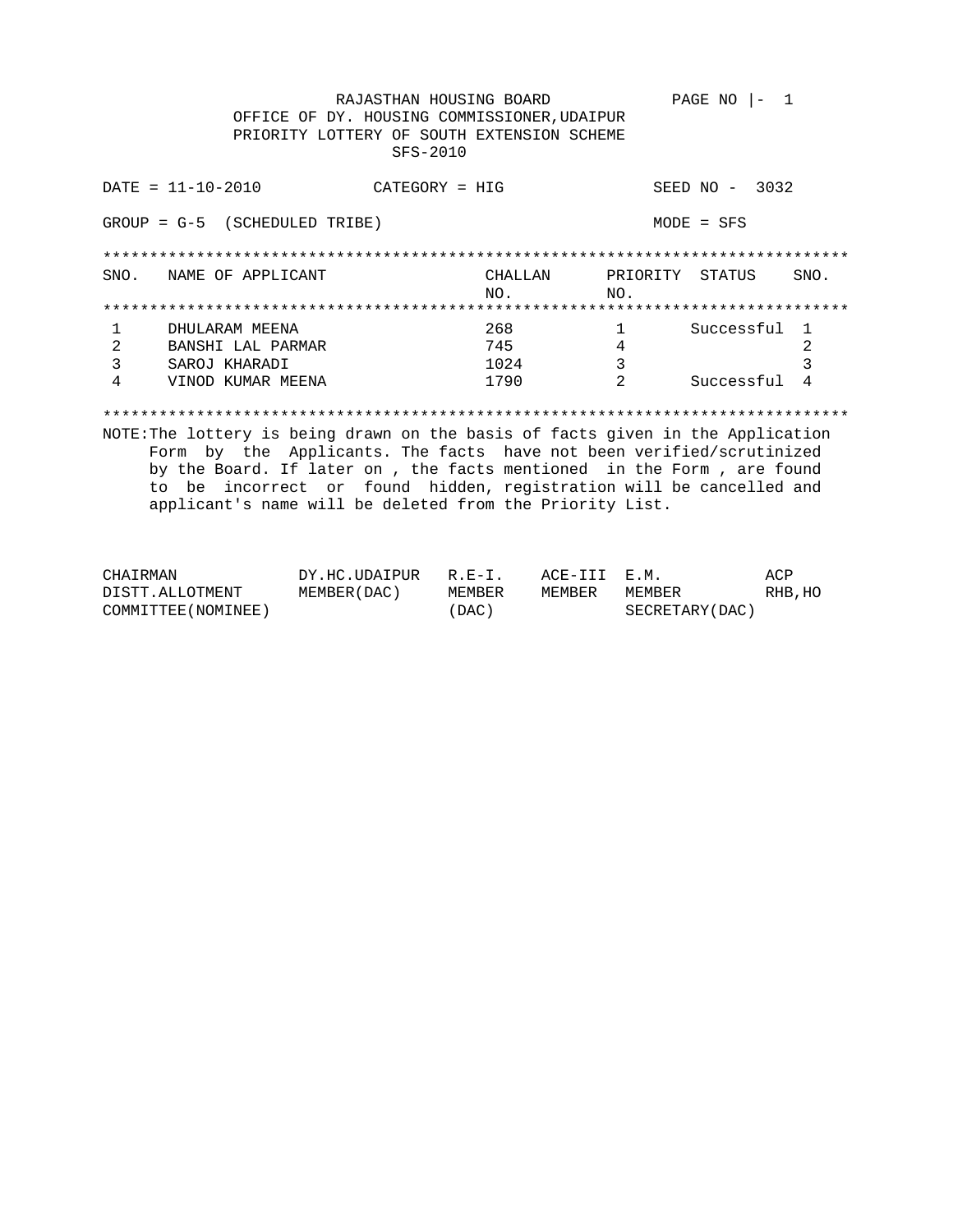PAGE NO  $|-1$ RAJASTHAN HOUSING BOARD OFFICE OF DY. HOUSING COMMISSIONER, UDAIPUR PRIORITY LOTTERY OF SOUTH EXTENSION SCHEME SFS-2010

|               | $DATA - 10 - 2010$ | $CATEGORY = HIG$ |         |          | 3032<br>SEED NO<br>$\overline{\phantom{m}}$ |      |
|---------------|--------------------|------------------|---------|----------|---------------------------------------------|------|
| $GROUP = G-5$ | (SCHEDULED TRIBE)  |                  |         |          | $MODE = SFS$                                |      |
|               |                    |                  |         |          |                                             |      |
| SNO.          | NAME OF APPLICANT  |                  | CHALLAN | PRIORITY | STATUS                                      | SNO. |
|               |                    |                  | NO.     | NO.      |                                             |      |
|               |                    |                  |         |          |                                             |      |
|               | DHULARAM MEENA     |                  | 268     |          | Successful                                  |      |
|               | BANSHI LAL PARMAR  |                  | 745     | 4        |                                             | 2    |
|               | SAROJ KHARADI      |                  | 1024    | 3        |                                             | 3    |
| 4             | VINOD KUMAR MEENA  |                  | 1790    | 2        | Successful                                  | 4    |
|               |                    |                  |         |          |                                             |      |

| CHAIRMAN            | DY.HC.UDAIPUR R.E-I. |        | ACE-III E.M. |                 | ACP     |
|---------------------|----------------------|--------|--------------|-----------------|---------|
| DISTT.ALLOTMENT     | MEMBER ( DAC )       | MEMBER | MEMBER       | MEMBER          | RHB, HO |
| COMMITTEE (NOMINEE) |                      | (DAC)  |              | SECRETARY (DAC) |         |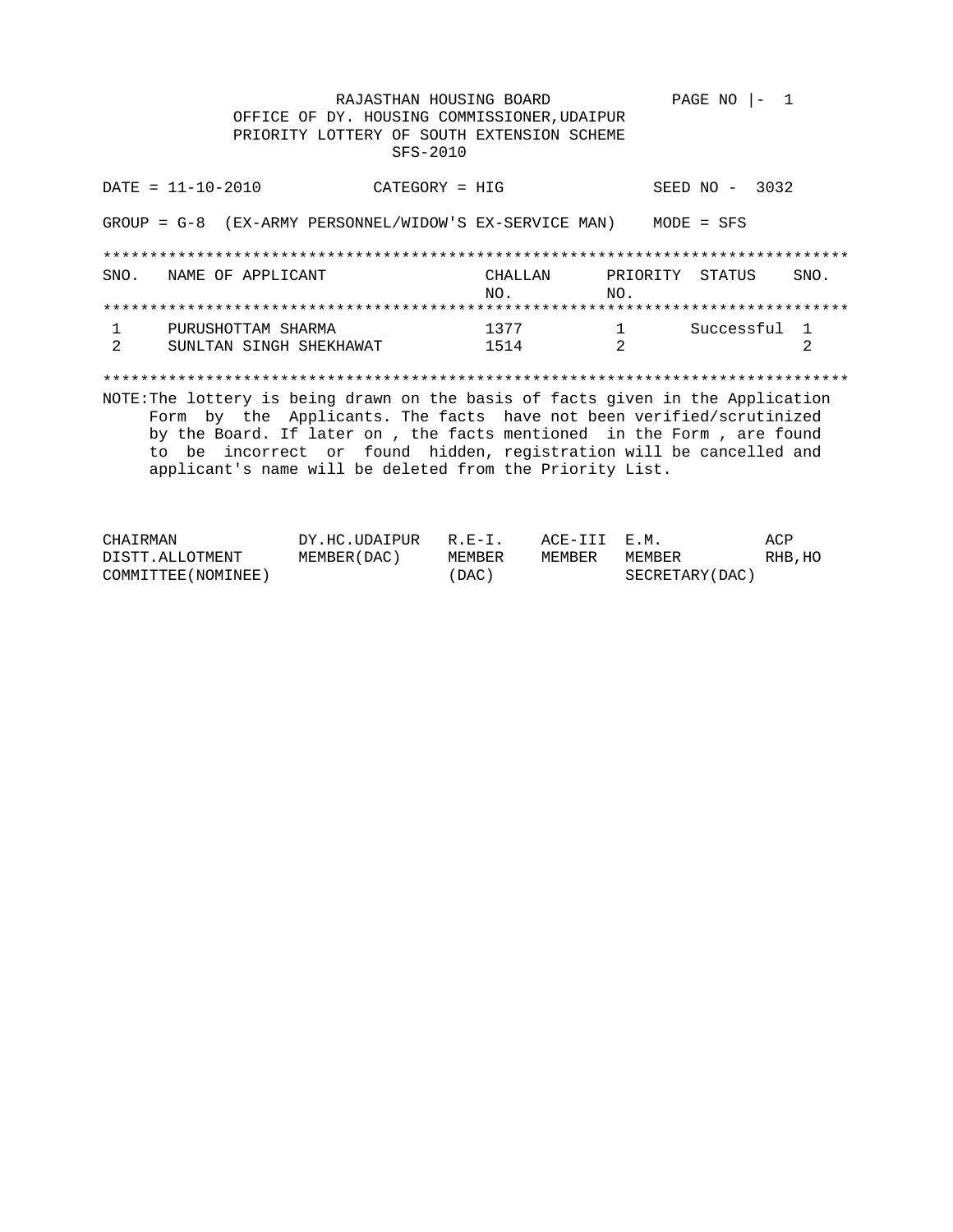RAJASTHAN HOUSING BOARD PAGE NO  $|-1$ OFFICE OF DY. HOUSING COMMISSIONER, UDAIPUR PRIORITY LOTTERY OF SOUTH EXTENSION SCHEME SFS-2010

 $DATA = 11 - 10 - 2010$ SEED NO - 3032  $CATEGORY = HIG$ GROUP =  $G-8$  (EX-ARMY PERSONNEL/WIDOW'S EX-SERVICE MAN) MODE = SFS CHALLAN PRIORITY STATUS<br>NO. NO. SNO. NAME OF APPLICANT SNO.  $NO<sub>1</sub>$ 1 Successful 1 1377  $1$ PURUSHOTTAM SHARMA  $\overline{2}$ SUNLTAN SINGH SHEKHAWAT 1514  $\overline{\mathbf{2}}$  $2^{1}$ NOTE: The lottery is being drawn on the basis of facts given in the Application Form by the Applicants. The facts have not been verified/scrutinized by the Board. If later on , the facts mentioned in the Form , are found to be incorrect or found hidden, registration will be cancelled and applicant's name will be deleted from the Priority List.

| CHAIRMAN            | DY.HC.UDAIPUR R.E-I. |        | ACE-III E.M. |                 | ACP     |
|---------------------|----------------------|--------|--------------|-----------------|---------|
| DISTT.ALLOTMENT     | MEMBER (DAC)         | MEMBER | MEMBER       | MEMBER          | RHB, HO |
| COMMITTEE (NOMINEE) |                      | (DAC)  |              | SECRETARY (DAC) |         |